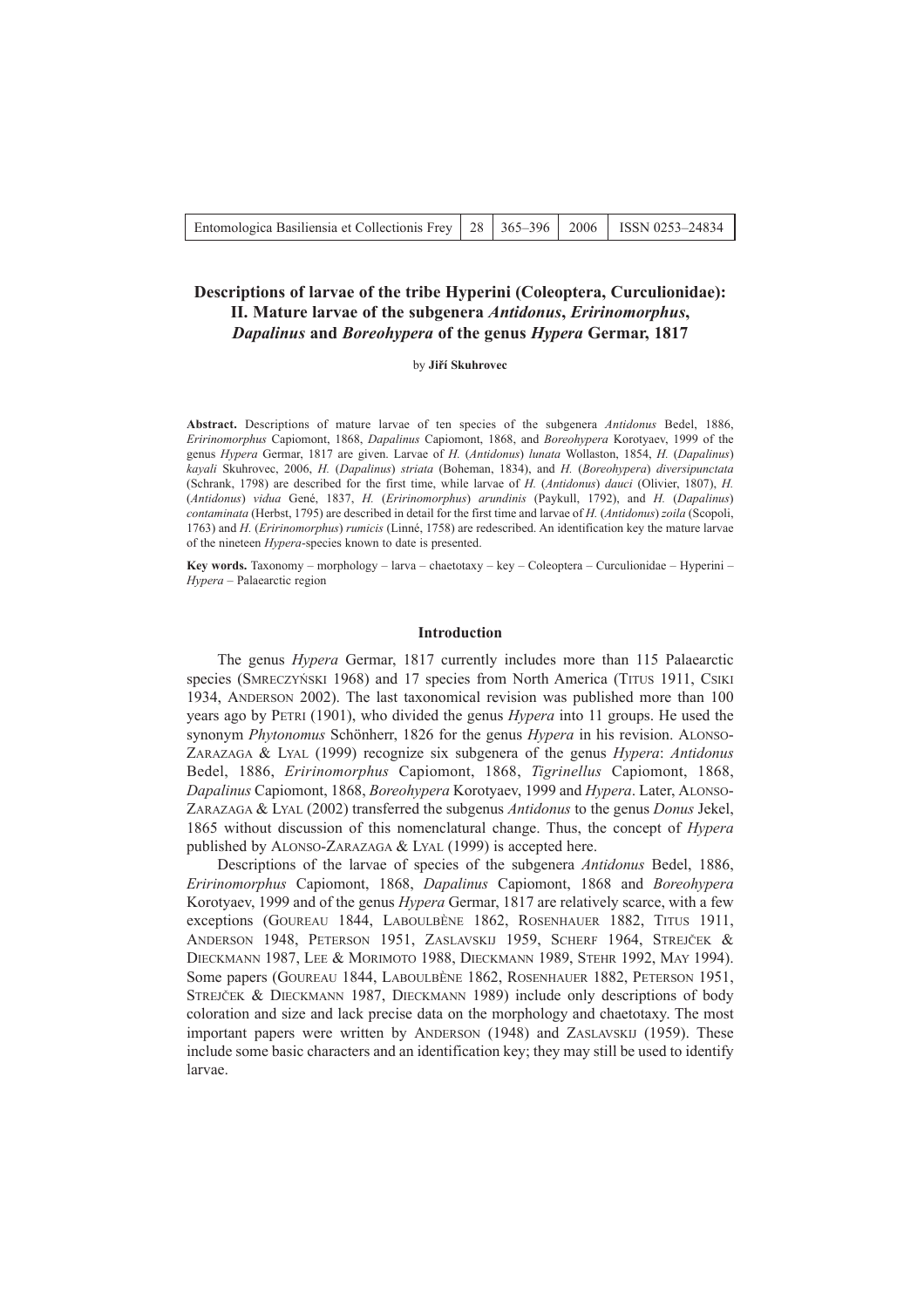| Entomologica Basiliensia et Collectionis Frey   28   365–396   2006   ISSN 0253–24834 |  |  |  |  |
|---------------------------------------------------------------------------------------|--|--|--|--|
|---------------------------------------------------------------------------------------|--|--|--|--|

# **Descriptions of larvae of the tribe Hyperini (Coleoptera, Curculionidae): II. Mature larvae of the subgenera** *Antidonus***,** *Eririnomorphus***,** *Dapalinus* **and** *Boreohypera* **of the genus** *Hypera* **Germar, 1817**

# by **Jiří Skuhrovec**

**Abstract.** Descriptions of mature larvae of ten species of the subgenera *Antidonus* Bedel, 1886, *Eririnomorphus* Capiomont, 1868, *Dapalinus* Capiomont, 1868, and *Boreohypera* Korotyaev, 1999 of the genus *Hypera* Germar, 1817 are given. Larvae of *H.* (*Antidonus*) *lunata* Wollaston, 1854, *H.* (*Dapalinus*) *kayali* Skuhrovec, 2006, *H.* (*Dapalinus*) *striata* (Boheman, 1834), and *H.* (*Boreohypera*) *diversipunctata* (Schrank, 1798) are described for the first time, while larvae of *H.* (*Antidonus*) *dauci* (Olivier, 1807), *H.* (*Antidonus*) *vidua* GenÈ, 1837, *H.* (*Eririnomorphus*) *arundinis* (Paykull, 1792), and *H.* (*Dapalinus*) *contaminata* (Herbst, 1795) are described in detail for the first time and larvae of *H.* (*Antidonus*) *zoila* (Scopoli, 1763) and *H.* (*Eririnomorphus*) *rumicis* (LinnÈ, 1758) are redescribed. An identification key the mature larvae of the nineteen *Hypera*-species known to date is presented.

Key words. Taxonomy – morphology – larva – chaetotaxy – key – Coleoptera – Curculionidae – Hyperini – *Hypera* – Palaearctic region

### **Introduction**

The genus *Hypera* Germar, 1817 currently includes more than 115 Palaearctic species (SMRECZYŃSKI 1968) and 17 species from North America (TITUS 1911, CSIKI 1934, ANDERSON 2002). The last taxonomical revision was published more than 100 years ago by PETRI (1901), who divided the genus *Hypera* into 11 groups. He used the synonym *Phytonomus* Schönherr, 1826 for the genus *Hypera* in his revision. ALONSO-ZARAZAGA & LYAL (1999) recognize six subgenera of the genus *Hypera*: *Antidonus* Bedel, 1886, *Eririnomorphus* Capiomont, 1868, *Tigrinellus* Capiomont, 1868, *Dapalinus* Capiomont, 1868, *Boreohypera* Korotyaev, 1999 and *Hypera*. Later, ALONSO-ZARAZAGA & LYAL (2002) transferred the subgenus *Antidonus* to the genus *Donus* Jekel, 1865 without discussion of this nomenclatural change. Thus, the concept of *Hypera* published by ALONSO-ZARAZAGA & LYAL (1999) is accepted here.

Descriptions of the larvae of species of the subgenera *Antidonus* Bedel, 1886, *Eririnomorphus* Capiomont, 1868, *Dapalinus* Capiomont, 1868 and *Boreohypera* Korotyaev, 1999 and of the genus *Hypera* Germar, 1817 are relatively scarce, with a few exceptions (GOUREAU 1844, LABOULBÈNE 1862, ROSENHAUER 1882, TITUS 1911, ANDERSON 1948, PETERSON 1951, ZASLAVSKIJ 1959, SCHERF 1964, STREJČEK & DIECKMANN 1987, LEE & MORIMOTO 1988, DIECKMANN 1989, STEHR 1992, MAY 1994). Some papers (GOUREAU 1844, LABOULBÈNE 1862, ROSENHAUER 1882, PETERSON 1951, STREJČEK & DIECKMANN 1987, DIECKMANN 1989) include only descriptions of body coloration and size and lack precise data on the morphology and chaetotaxy. The most important papers were written by ANDERSON (1948) and ZASLAVSKIJ (1959). These include some basic characters and an identification key; they may still be used to identify larvae.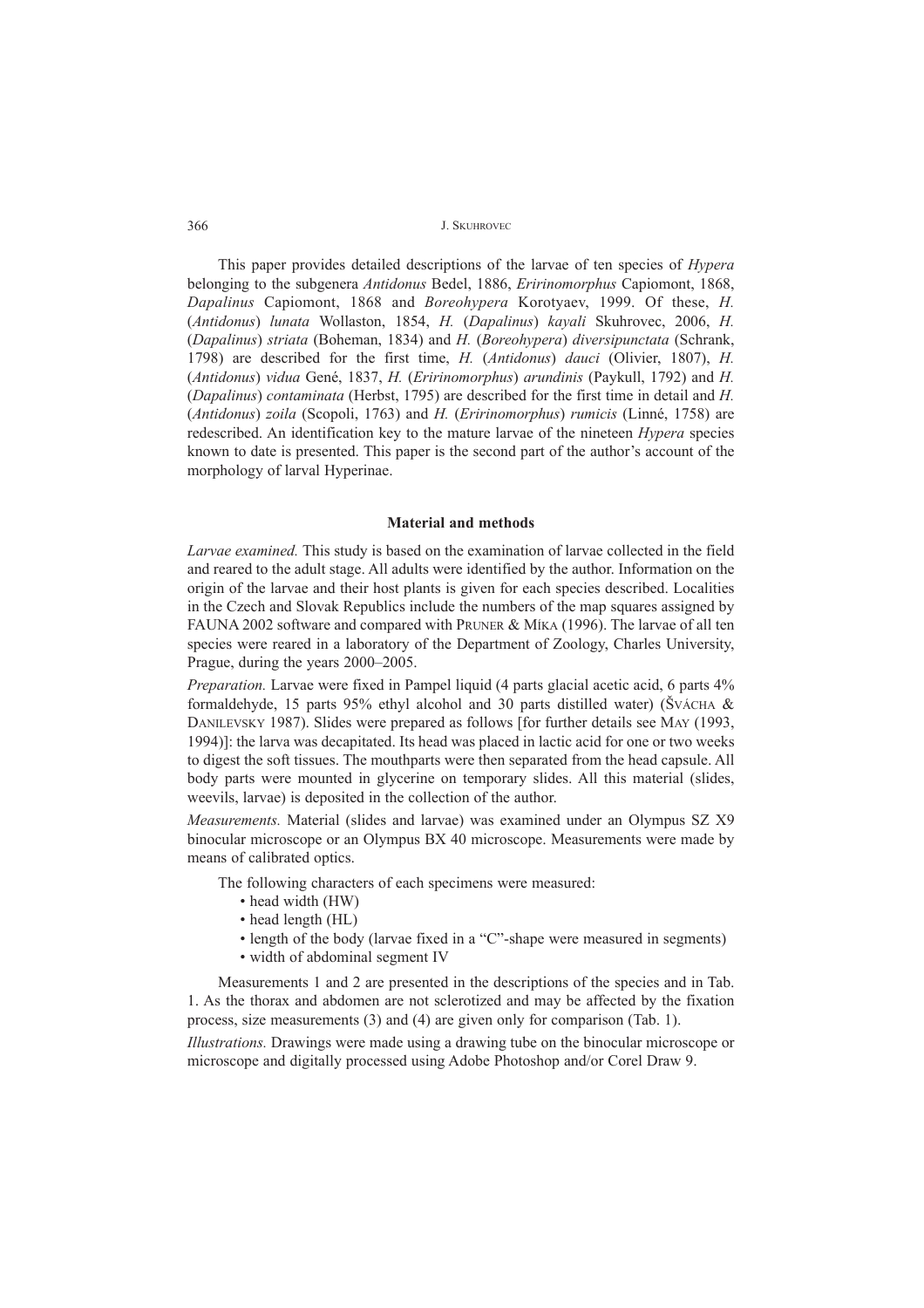This paper provides detailed descriptions of the larvae of ten species of *Hypera* belonging to the subgenera *Antidonus* Bedel, 1886, *Eririnomorphus* Capiomont, 1868, *Dapalinus* Capiomont, 1868 and *Boreohypera* Korotyaev, 1999. Of these, *H.* (*Antidonus*) *lunata* Wollaston, 1854, *H.* (*Dapalinus*) *kayali* Skuhrovec, 2006, *H.* (*Dapalinus*) *striata* (Boheman, 1834) and *H.* (*Boreohypera*) *diversipunctata* (Schrank, 1798) are described for the first time, *H.* (*Antidonus*) *dauci* (Olivier, 1807), *H.* (*Antidonus*) *vidua* GenÈ, 1837, *H.* (*Eririnomorphus*) *arundinis* (Paykull, 1792) and *H.* (*Dapalinus*) *contaminata* (Herbst, 1795) are described for the first time in detail and *H.* (*Antidonus*) *zoila* (Scopoli, 1763) and *H.* (*Eririnomorphus*) *rumicis* (LinnÈ, 1758) are redescribed. An identification key to the mature larvae of the nineteen *Hypera* species known to date is presented. This paper is the second part of the author's account of the morphology of larval Hyperinae.

# **Material and methods**

*Larvae examined.* This study is based on the examination of larvae collected in the field and reared to the adult stage. All adults were identified by the author. Information on the origin of the larvae and their host plants is given for each species described. Localities in the Czech and Slovak Republics include the numbers of the map squares assigned by FAUNA 2002 software and compared with PRUNER & MÍKA (1996). The larvae of all ten species were reared in a laboratory of the Department of Zoology, Charles University, Prague, during the years  $2000-2005$ .

*Preparation.* Larvae were fixed in Pampel liquid (4 parts glacial acetic acid, 6 parts 4% formaldehyde, 15 parts 95% ethyl alcohol and 30 parts distilled water) (ŠVÁCHA  $&$ DANILEVSKY 1987). Slides were prepared as follows [for further details see MAY (1993, 1994)]: the larva was decapitated. Its head was placed in lactic acid for one or two weeks to digest the soft tissues. The mouthparts were then separated from the head capsule. All body parts were mounted in glycerine on temporary slides. All this material (slides, weevils, larvae) is deposited in the collection of the author.

*Measurements.* Material (slides and larvae) was examined under an Olympus SZ X9 binocular microscope or an Olympus BX 40 microscope. Measurements were made by means of calibrated optics.

The following characters of each specimens were measured:

- head width (HW)
- $\cdot$  head length (HL)
- length of the body (larvae fixed in a "C"-shape were measured in segments)
- width of abdominal segment IV

Measurements 1 and 2 are presented in the descriptions of the species and in Tab. 1. As the thorax and abdomen are not sclerotized and may be affected by the fixation process, size measurements (3) and (4) are given only for comparison (Tab. 1).

*Illustrations.* Drawings were made using a drawing tube on the binocular microscope or microscope and digitally processed using Adobe Photoshop and/or Corel Draw 9.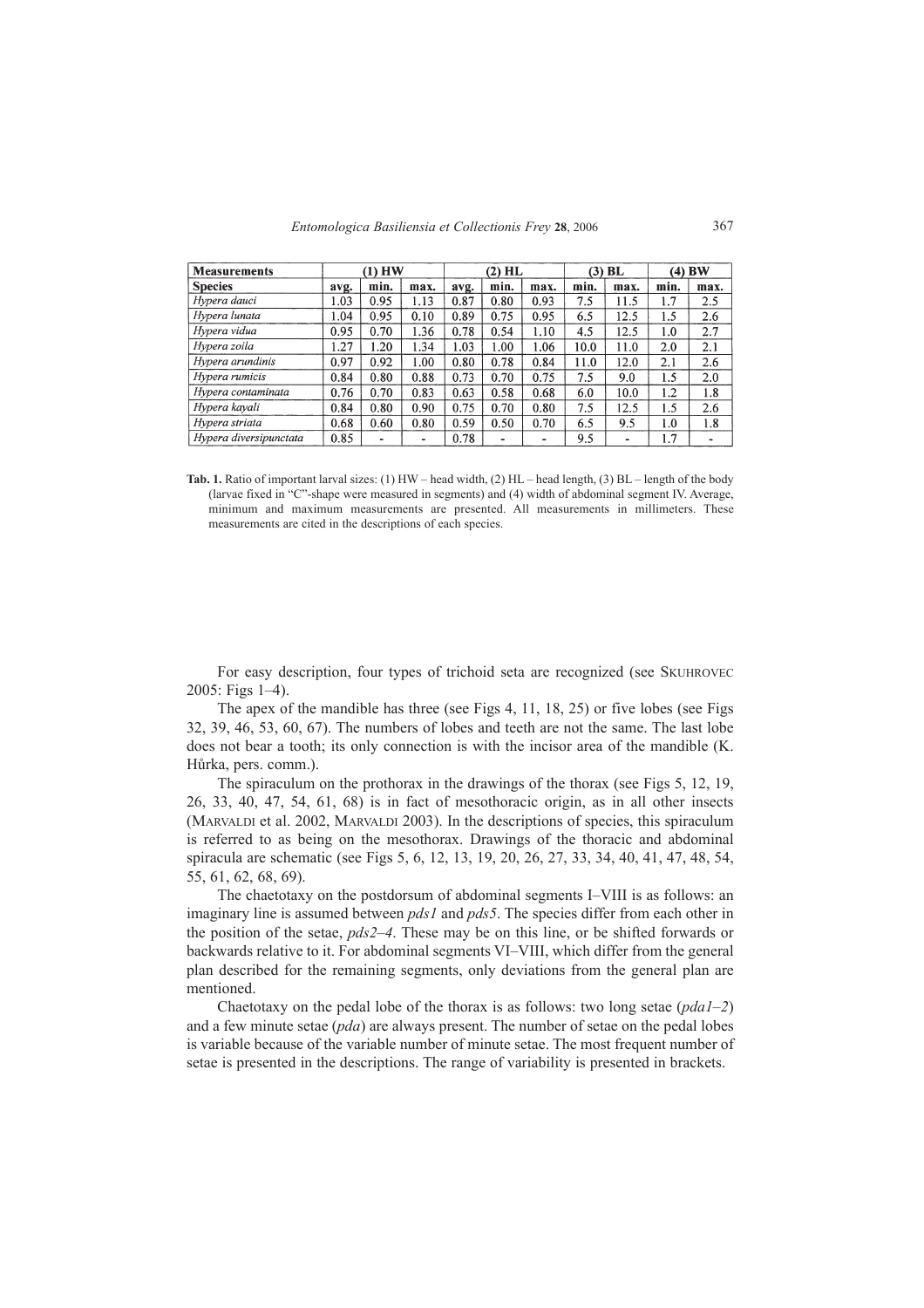| <b>Measurements</b>    | $(1)$ HW |           | $(2)$ HL |      |      | $(3)$ BL |      | (4) BW |      |      |
|------------------------|----------|-----------|----------|------|------|----------|------|--------|------|------|
| <b>Species</b>         | avg.     | min.      | max.     | avg. | min. | max.     | min. | max.   | min. | max. |
| Hypera dauci           | 1.03     | 0.95      | 1.13     | 0.87 | 0.80 | 0.93     | 7.5  | 11.5   | 1.7  | 2.5  |
| Hypera lunata          | 1.04     | 0.95      | 0.10     | 0.89 | 0.75 | 0.95     | 6.5  | 12.5   | 1.5  | 2.6  |
| Hypera vidua           | 0.95     | 0.70      | 1.36     | 0.78 | 0.54 | 1.10     | 4.5  | 12.5   | 1.0  | 2.7  |
| Hypera zoila           | 1.27     | 1.20      | 1.34     | 1.03 | 1.00 | 1.06     | 10.0 | 11.0   | 2.0  | 2.1  |
| Hypera arundinis       | 0.97     | 0.92      | 1.00     | 0.80 | 0.78 | 0.84     | 11.0 | 12.0   | 2.1  | 2.6  |
| Hypera rumicis         | 0.84     | 0.80      | 0.88     | 0.73 | 0.70 | 0.75     | 7.5  | 9.0    | 1.5  | 2.0  |
| Hypera contaminata     | 0.76     | 0.70      | 0.83     | 0.63 | 0.58 | 0.68     | 6.0  | 10.0   | 1.2  | 1.8  |
| Hypera kavali          | 0.84     | 0.80      | 0.90     | 0.75 | 0.70 | 0.80     | 7.5  | 12.5   | 1.5  | 2.6  |
| Hypera striata         | 0.68     | 0.60      | 0.80     | 0.59 | 0.50 | 0.70     | 6.5  | 9.5    | 1.0  | 1.8  |
| Hypera diversipunctata | 0.85     | $\bullet$ | ۰        | 0.78 |      | ۰        | 9.5  | ٠      | 1.7  | ۰    |

Tab. 1. Ratio of important larval sizes: (1) HW – head width, (2) HL – head length, (3) BL – length of the body (larvae fixed in "C"-shape were measured in segments) and (4) width of abdominal segment IV. Average, minimum and maximum measurements are presented. All measurements in millimeters. These measurements are cited in the descriptions of each species.

For easy description, four types of trichoid seta are recognized (see SKUHROVEC  $2005$ : Figs 1-4).

The apex of the mandible has three (see Figs 4, 11, 18, 25) or five lobes (see Figs 32, 39, 46, 53, 60, 67). The numbers of lobes and teeth are not the same. The last lobe does not bear a tooth; its only connection is with the incisor area of the mandible (K. Hůrka, pers. comm.).

The spiraculum on the prothorax in the drawings of the thorax (see Figs 5, 12, 19, 26, 33, 40, 47, 54, 61, 68) is in fact of mesothoracic origin, as in all other insects (MARVALDI et al. 2002, MARVALDI 2003). In the descriptions of species, this spiraculum is referred to as being on the mesothorax. Drawings of the thoracic and abdominal spiracula are schematic (see Figs 5, 6, 12, 13, 19, 20, 26, 27, 33, 34, 40, 41, 47, 48, 54, 55, 61, 62, 68, 69).

The chaetotaxy on the postdorsum of abdominal segments I-VIII is as follows: an imaginary line is assumed between *pds1* and *pds5*. The species differ from each other in the position of the setae, *pds2–4*. These may be on this line, or be shifted forwards or backwards relative to it. For abdominal segments VI-VIII, which differ from the general plan described for the remaining segments, only deviations from the general plan are mentioned.

Chaetotaxy on the pedal lobe of the thorax is as follows: two long setae  $(pda1-2)$ and a few minute setae (*pda*) are always present. The number of setae on the pedal lobes is variable because of the variable number of minute setae. The most frequent number of setae is presented in the descriptions. The range of variability is presented in brackets.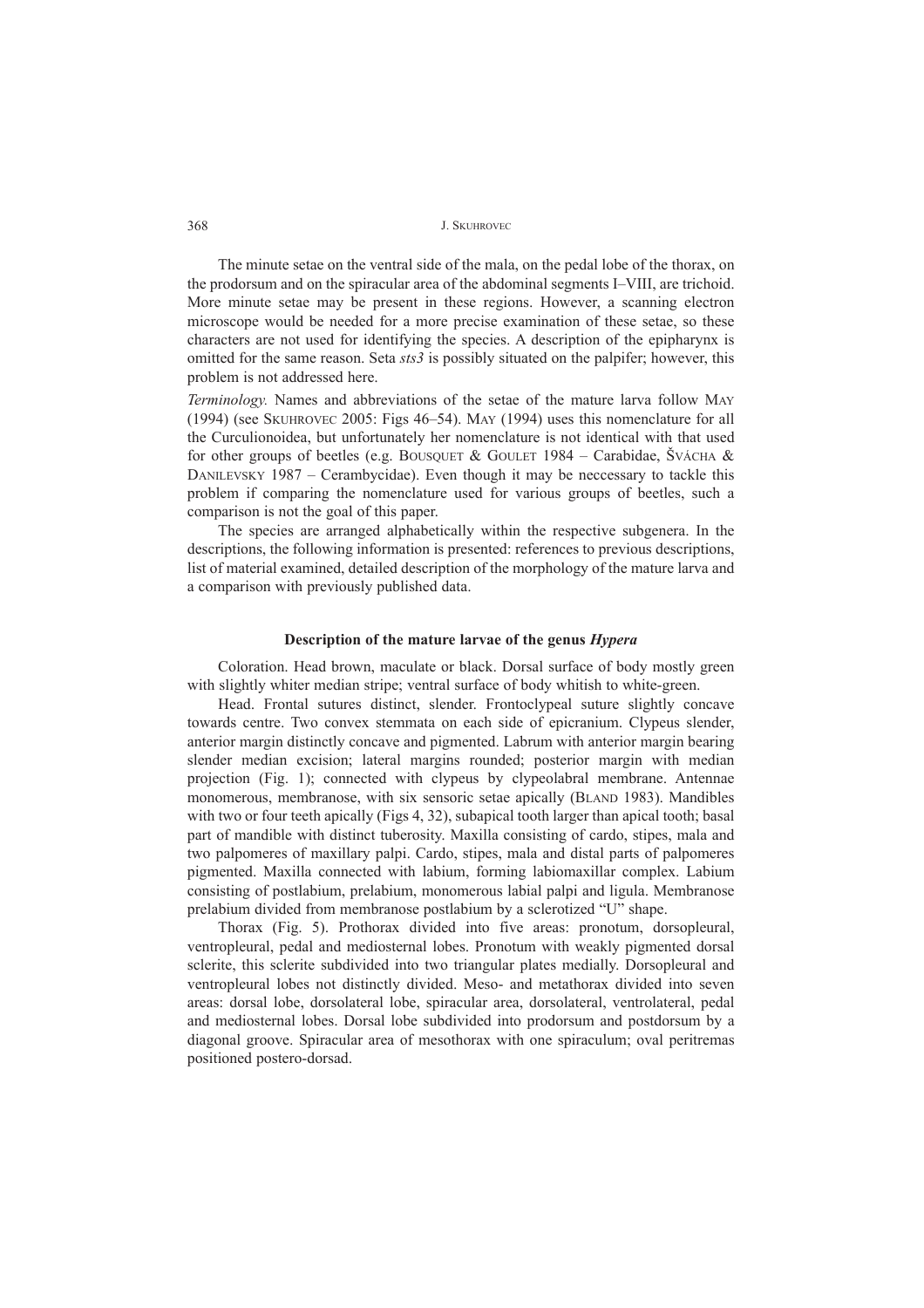The minute setae on the ventral side of the mala, on the pedal lobe of the thorax, on the prodorsum and on the spiracular area of the abdominal segments I–VIII, are trichoid. More minute setae may be present in these regions. However, a scanning electron microscope would be needed for a more precise examination of these setae, so these characters are not used for identifying the species. A description of the epipharynx is omitted for the same reason. Seta *sts3* is possibly situated on the palpifer; however, this problem is not addressed here.

*Terminology.* Names and abbreviations of the setae of the mature larva follow MAY (1994) (see SKUHROVEC 2005: Figs  $46-54$ ). May (1994) uses this nomenclature for all the Curculionoidea, but unfortunately her nomenclature is not identical with that used for other groups of beetles (e.g. BOUSQUET & GOULET 1984 – Carabidae, ŠVÁCHA & DANILEVSKY 1987 – Cerambycidae). Even though it may be neccessary to tackle this problem if comparing the nomenclature used for various groups of beetles, such a comparison is not the goal of this paper.

The species are arranged alphabetically within the respective subgenera. In the descriptions, the following information is presented: references to previous descriptions, list of material examined, detailed description of the morphology of the mature larva and a comparison with previously published data.

# **Description of the mature larvae of the genus** *Hypera*

Coloration. Head brown, maculate or black. Dorsal surface of body mostly green with slightly whiter median stripe; ventral surface of body whitish to white-green.

Head. Frontal sutures distinct, slender. Frontoclypeal suture slightly concave towards centre. Two convex stemmata on each side of epicranium. Clypeus slender, anterior margin distinctly concave and pigmented. Labrum with anterior margin bearing slender median excision; lateral margins rounded; posterior margin with median projection (Fig. 1); connected with clypeus by clypeolabral membrane. Antennae monomerous, membranose, with six sensoric setae apically (BLAND 1983). Mandibles with two or four teeth apically (Figs 4, 32), subapical tooth larger than apical tooth; basal part of mandible with distinct tuberosity. Maxilla consisting of cardo, stipes, mala and two palpomeres of maxillary palpi. Cardo, stipes, mala and distal parts of palpomeres pigmented. Maxilla connected with labium, forming labiomaxillar complex. Labium consisting of postlabium, prelabium, monomerous labial palpi and ligula. Membranose prelabium divided from membranose postlabium by a sclerotized "U" shape.

Thorax (Fig. 5). Prothorax divided into five areas: pronotum, dorsopleural, ventropleural, pedal and mediosternal lobes. Pronotum with weakly pigmented dorsal sclerite, this sclerite subdivided into two triangular plates medially. Dorsopleural and ventropleural lobes not distinctly divided. Meso- and metathorax divided into seven areas: dorsal lobe, dorsolateral lobe, spiracular area, dorsolateral, ventrolateral, pedal and mediosternal lobes. Dorsal lobe subdivided into prodorsum and postdorsum by a diagonal groove. Spiracular area of mesothorax with one spiraculum; oval peritremas positioned postero-dorsad.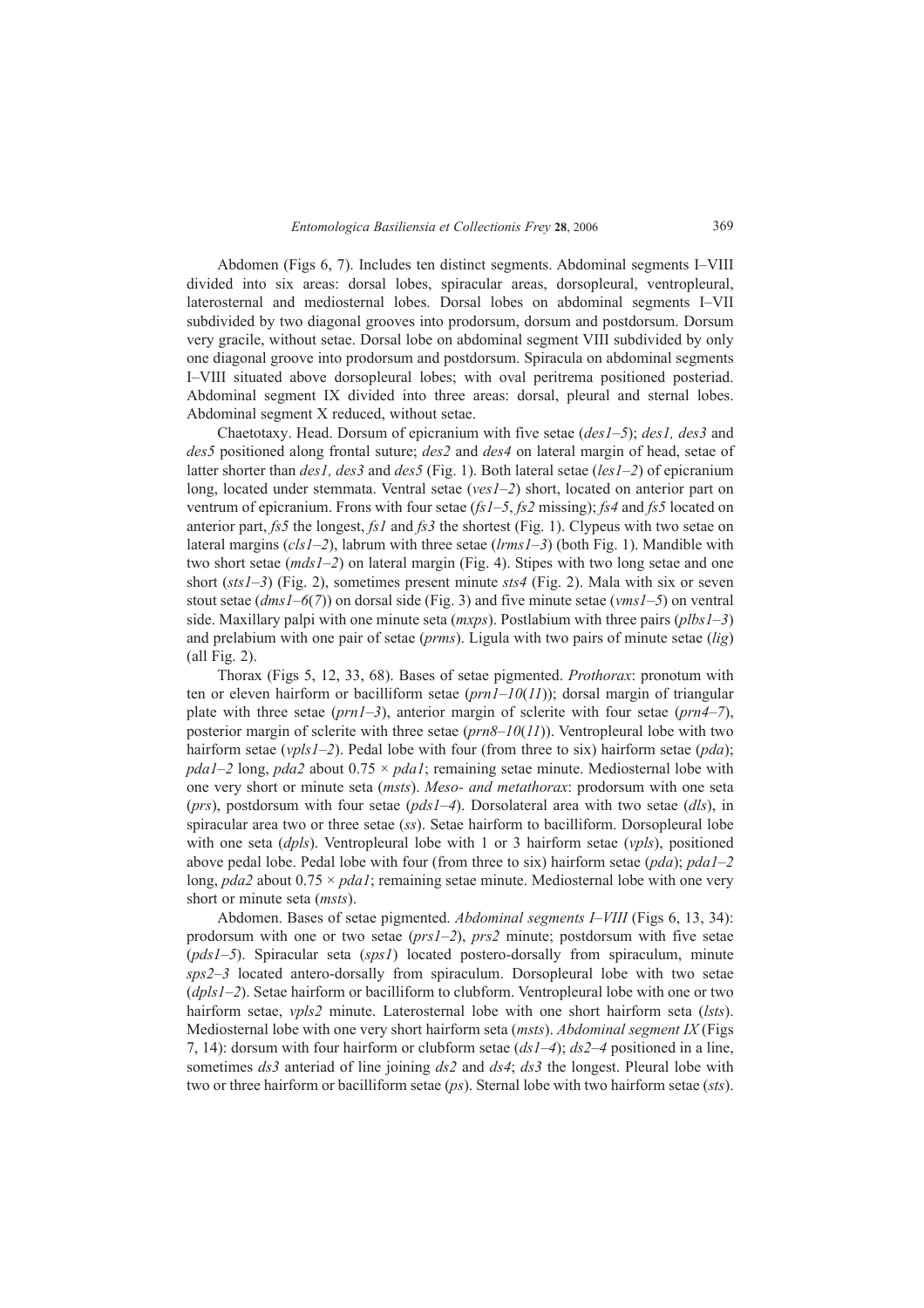Abdomen (Figs 6, 7). Includes ten distinct segments. Abdominal segments I-VIII divided into six areas: dorsal lobes, spiracular areas, dorsopleural, ventropleural, laterosternal and mediosternal lobes. Dorsal lobes on abdominal segments I-VII subdivided by two diagonal grooves into prodorsum, dorsum and postdorsum. Dorsum very gracile, without setae. Dorsal lobe on abdominal segment VIII subdivided by only one diagonal groove into prodorsum and postdorsum. Spiracula on abdominal segments I-VIII situated above dorsopleural lobes; with oval peritrema positioned posteriad. Abdominal segment IX divided into three areas: dorsal, pleural and sternal lobes. Abdominal segment X reduced, without setae.

Chaetotaxy. Head. Dorsum of epicranium with five setae (*des1-5*); *des1*, *des3* and *des5* positioned along frontal suture; *des2* and *des4* on lateral margin of head, setae of latter shorter than *des1, des3* and *des5* (Fig. 1). Both lateral setae (*les1-2*) of epicranium long, located under stemmata. Ventral setae (*ves1-2*) short, located on anterior part on ventrum of epicranium. Frons with four setae ( $fs1-5$ ,  $fs2$  missing);  $fs4$  and  $fs5$  located on anterior part, *fs5* the longest, *fs1* and *fs3* the shortest (Fig. 1). Clypeus with two setae on lateral margins (*cls1*-2), labrum with three setae (*lrms1*-3) (both Fig. 1). Mandible with two short setae (*mds1-2*) on lateral margin (Fig. 4). Stipes with two long setae and one short (*sts1*-3) (Fig. 2), sometimes present minute *sts4* (Fig. 2). Mala with six or seven stout setae (*dms1*–6(7)) on dorsal side (Fig. 3) and five minute setae (*vms1*–5) on ventral side. Maxillary palpi with one minute seta (*mxps*). Postlabium with three pairs (*plbs1–3*) and prelabium with one pair of setae (*prms*). Ligula with two pairs of minute setae (*lig*) (all Fig. 2).

Thorax (Figs 5, 12, 33, 68). Bases of setae pigmented. *Prothorax*: pronotum with ten or eleven hairform or bacilliform setae  $(prnl-10(11))$ ; dorsal margin of triangular plate with three setae (*prn1–3*), anterior margin of sclerite with four setae (*prn4–7*), posterior margin of sclerite with three setae  $(prn8–10(11))$ . Ventropleural lobe with two hairform setae ( $vpls1-2$ ). Pedal lobe with four (from three to six) hairform setae ( $pda$ ); *pda1–2* long, *pda2* about  $0.75 \times$  *pda1*; remaining setae minute. Mediosternal lobe with one very short or minute seta (*msts*). *Meso- and metathorax*: prodorsum with one seta ( $prs$ ), postdorsum with four setae ( $pds1-4$ ). Dorsolateral area with two setae ( $dls$ ), in spiracular area two or three setae (*ss*). Setae hairform to bacilliform. Dorsopleural lobe with one seta (*dpls*). Ventropleural lobe with 1 or 3 hairform setae (*vpls*), positioned above pedal lobe. Pedal lobe with four (from three to six) hairform setae (*pda*); *pda1-2* long,  $pda2$  about  $0.75 \times pda1$ ; remaining setae minute. Mediosternal lobe with one very short or minute seta (*msts*).

Abdomen. Bases of setae pigmented. *Abdominal segments I–VIII* (Figs 6, 13, 34): prodorsum with one or two setae  $(prsI-2)$ ,  $prs2$  minute; postdorsum with five setae (*pds1–5*). Spiracular seta (*sps1*) located postero-dorsally from spiraculum, minute sps2–3 located antero-dorsally from spiraculum. Dorsopleural lobe with two setae (*dpls1-2*). Setae hairform or bacilliform to clubform. Ventropleural lobe with one or two hairform setae, *vpls2* minute. Laterosternal lobe with one short hairform seta (*lsts*). Mediosternal lobe with one very short hairform seta (*msts*). *Abdominal segment IX* (Figs 7, 14): dorsum with four hairform or clubform setae  $(dsI-4)$ ;  $ds2-4$  positioned in a line, sometimes *ds3* anteriad of line joining *ds2* and *ds4*; *ds3* the longest. Pleural lobe with two or three hairform or bacilliform setae (*ps*). Sternal lobe with two hairform setae (*sts*).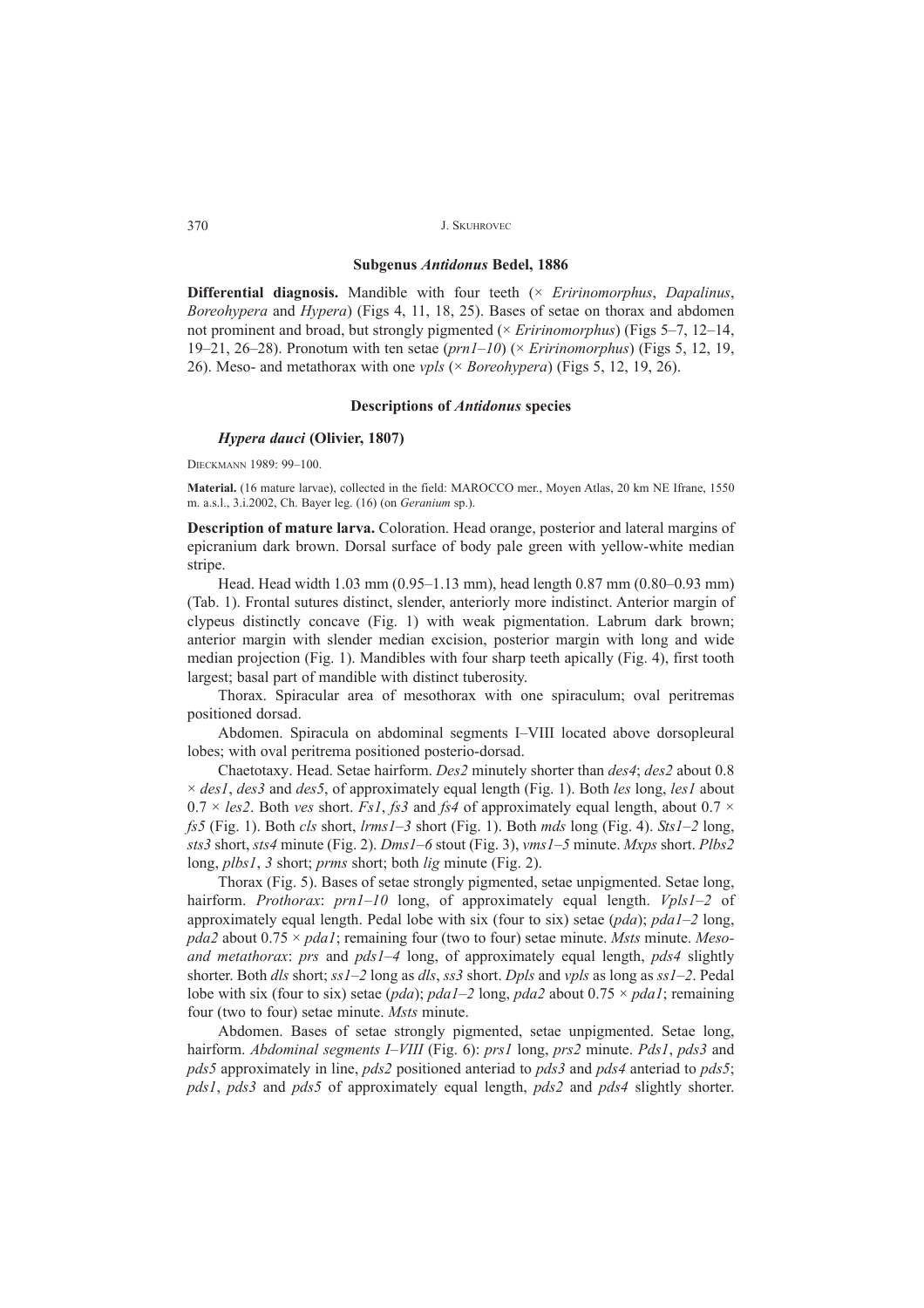#### **Subgenus** *Antidonus* **Bedel, 1886**

**Differential diagnosis.** Mandible with four teeth (× *Eririnomorphus*, *Dapalinus*, *Boreohypera* and *Hypera*) (Figs 4, 11, 18, 25). Bases of setae on thorax and abdomen not prominent and broad, but strongly pigmented ( $\times$  *Eririnomorphus*) (Figs 5–7, 12–14, 19–21, 26–28). Pronotum with ten setae  $(prnl-10)$  ( $\times$  *Eririnomorphus*) (Figs 5, 12, 19, 26). Meso- and metathorax with one *vpls* (× *Boreohypera*) (Figs 5, 12, 19, 26).

# **Descriptions of** *Antidonus* **species**

# *Hypera dauci* **(Olivier, 1807)**

DIECKMANN 1989: 99-100.

**Material.** (16 mature larvae), collected in the field: MAROCCO mer., Moyen Atlas, 20 km NE Ifrane, 1550 m. a.s.l., 3.i.2002, Ch. Bayer leg. (16) (on *Geranium* sp.).

**Description of mature larva.** Coloration. Head orange, posterior and lateral margins of epicranium dark brown. Dorsal surface of body pale green with yellow-white median stripe.

Head. Head width  $1.03 \text{ mm}$  (0.95–1.13 mm), head length 0.87 mm (0.80–0.93 mm) (Tab. 1). Frontal sutures distinct, slender, anteriorly more indistinct. Anterior margin of clypeus distinctly concave (Fig. 1) with weak pigmentation. Labrum dark brown; anterior margin with slender median excision, posterior margin with long and wide median projection (Fig. 1). Mandibles with four sharp teeth apically (Fig. 4), first tooth largest; basal part of mandible with distinct tuberosity.

Thorax. Spiracular area of mesothorax with one spiraculum; oval peritremas positioned dorsad.

Abdomen. Spiracula on abdominal segments I-VIII located above dorsopleural lobes; with oval peritrema positioned posterio-dorsad.

Chaetotaxy. Head. Setae hairform. *Des2* minutely shorter than *des4*; *des2* about 0.8 × *des1*, *des3* and *des5*, of approximately equal length (Fig. 1). Both *les* long, *les1* about  $0.7 \times \text{les2}$ . Both *ves* short. *Fs1*, *fs3* and *fs4* of approximately equal length, about 0.7  $\times$ *fs5* (Fig. 1). Both *cls* short,  $\lim_{s \to 3} 1 - 3$  short (Fig. 1). Both *mds* long (Fig. 4). *Sts1*-2 long, *sts3* short, *sts4* minute (Fig. 2). *Dms1ñ6* stout (Fig. 3), *vms1ñ5* minute. *Mxps* short. *Plbs2* long, *plbs1*, *3* short; *prms* short; both *lig* minute (Fig. 2).

Thorax (Fig. 5). Bases of setae strongly pigmented, setae unpigmented. Setae long, hairform. *Prothorax: prn1–10* long, of approximately equal length. *Vpls1–2* of approximately equal length. Pedal lobe with six (four to six) setae  $(pda)$ ;  $pda1-2$  long, *pda2* about 0.75 × *pda1*; remaining four (two to four) setae minute. *Msts* minute. *Mesoand metathorax: prs and pds1–4 long, of approximately equal length, pds4 slightly* shorter. Both *dls* short; *ss1*ñ*2* long as *dls*, *ss3* short. *Dpls* and *vpls* as long as *ss1*ñ*2*. Pedal lobe with six (four to six) setae (*pda*); *pda1*–2 long, *pda2* about  $0.75 \times$  *pda1*; remaining four (two to four) setae minute. *Msts* minute.

Abdomen. Bases of setae strongly pigmented, setae unpigmented. Setae long, hairform. *Abdominal segments I–VIII* (Fig. 6): *prs1* long, *prs2* minute. *Pds1*, *pds3* and *pds5* approximately in line, *pds2* positioned anteriad to *pds3* and *pds4* anteriad to *pds5*; *pds1*, *pds3* and *pds5* of approximately equal length, *pds2* and *pds4* slightly shorter.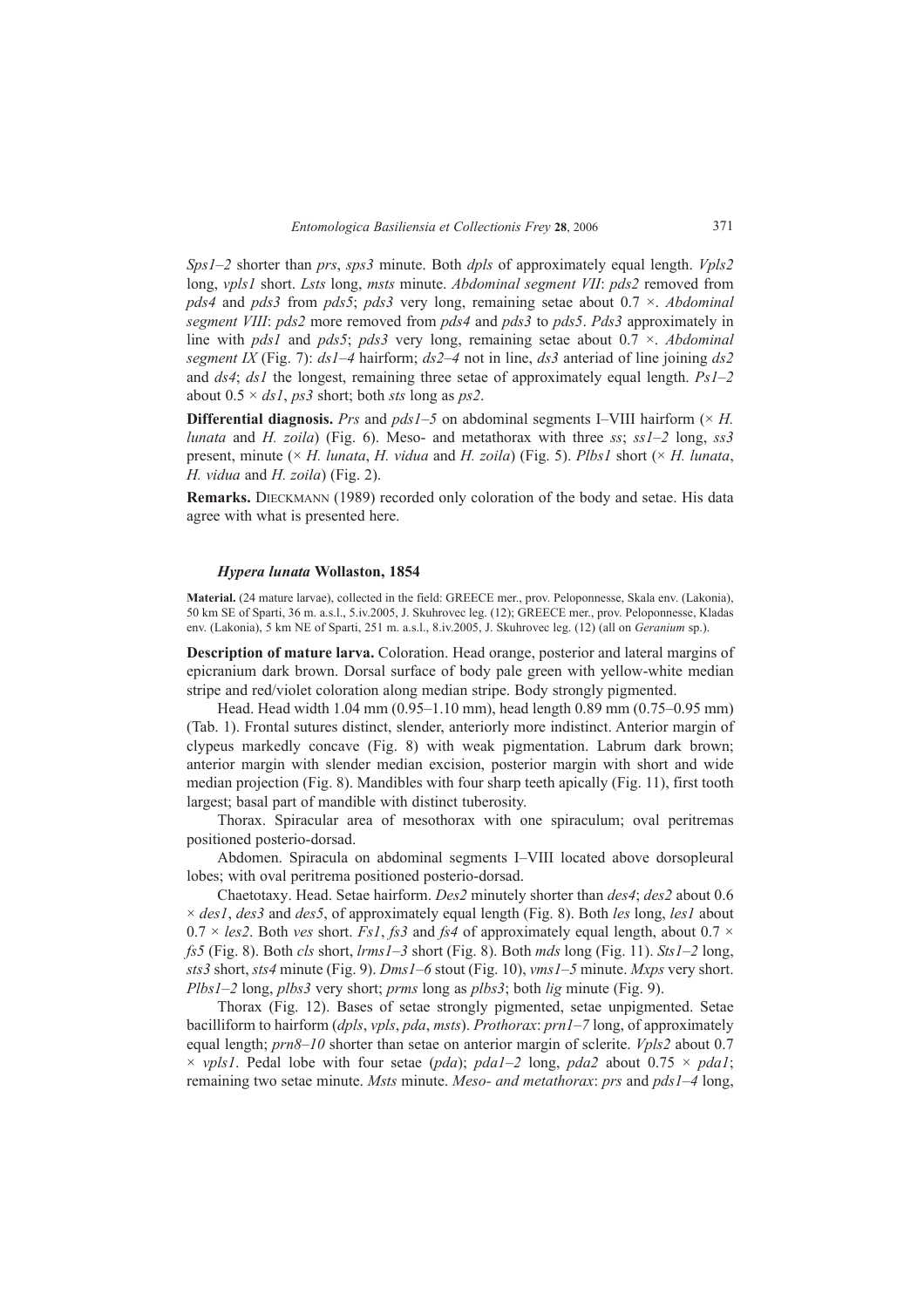*Sps1*ñ*2* shorter than *prs*, *sps3* minute. Both *dpls* of approximately equal length. *Vpls2* long, *vpls1* short. *Lsts* long, *msts* minute. *Abdominal segment VII*: *pds2* removed from *pds4* and *pds3* from *pds5*; *pds3* very long, remaining setae about 0.7 ×. *Abdominal segment VIII*: *pds2* more removed from *pds4* and *pds3* to *pds5*. *Pds3* approximately in line with *pds1* and *pds5*; *pds3* very long, remaining setae about 0.7 ×. *Abdominal segment IX* (Fig. 7):  $ds1-4$  hairform;  $ds2-4$  not in line,  $ds3$  anteriad of line joining  $ds2$ and  $ds4$ ;  $ds1$  the longest, remaining three setae of approximately equal length.  $Ps1-2$ about 0.5 × *ds1*, *ps3* short; both *sts* long as *ps2*.

**Differential diagnosis.** *Prs* and  $pdsI-5$  on abdominal segments I–VIII hairform ( $\times$  *H. lunata* and *H. zoila*) (Fig. 6). Meso- and metathorax with three *ss*;  $ssI-2$  long,  $ss3$ present, minute (× *H. lunata*, *H. vidua* and *H. zoila*) (Fig. 5). *Plbs1* short (× *H. lunata*, *H. vidua* and *H. zoila*) (Fig. 2).

**Remarks.** DIECKMANN (1989) recorded only coloration of the body and setae. His data agree with what is presented here.

# *Hypera lunata* **Wollaston, 1854**

**Material.** (24 mature larvae), collected in the field: GREECE mer., prov. Peloponnesse, Skala env. (Lakonia), 50 km SE of Sparti, 36 m. a.s.l., 5.iv.2005, J. Skuhrovec leg. (12); GREECE mer., prov. Peloponnesse, Kladas env. (Lakonia), 5 km NE of Sparti, 251 m. a.s.l., 8.iv.2005, J. Skuhrovec leg. (12) (all on *Geranium* sp.).

**Description of mature larva.** Coloration. Head orange, posterior and lateral margins of epicranium dark brown. Dorsal surface of body pale green with yellow-white median stripe and red/violet coloration along median stripe. Body strongly pigmented.

Head. Head width  $1.04 \text{ mm } (0.95-1.10 \text{ mm})$ , head length 0.89 mm (0.75–0.95 mm) (Tab. 1). Frontal sutures distinct, slender, anteriorly more indistinct. Anterior margin of clypeus markedly concave (Fig. 8) with weak pigmentation. Labrum dark brown; anterior margin with slender median excision, posterior margin with short and wide median projection (Fig. 8). Mandibles with four sharp teeth apically (Fig. 11), first tooth largest; basal part of mandible with distinct tuberosity.

Thorax. Spiracular area of mesothorax with one spiraculum; oval peritremas positioned posterio-dorsad.

Abdomen. Spiracula on abdominal segments I-VIII located above dorsopleural lobes; with oval peritrema positioned posterio-dorsad.

Chaetotaxy. Head. Setae hairform. *Des2* minutely shorter than *des4*; *des2* about 0.6 × *des1*, *des3* and *des5*, of approximately equal length (Fig. 8). Both *les* long, *les1* about  $0.7 \times \text{les2}$ . Both *ves* short. *Fs1*, *fs3* and *fs4* of approximately equal length, about  $0.7 \times$ *fs5* (Fig. 8). Both *cls* short,  $lrms1-3$  short (Fig. 8). Both *mds* long (Fig. 11). *Sts1*-2 long, *sts3* short, *sts4* minute (Fig. 9). *Dms1ñ6* stout (Fig. 10), *vms1ñ5* minute. *Mxps* very short. *Plbs1*–2 long, *plbs3* very short; *prms* long as *plbs3*; both *lig* minute (Fig. 9).

Thorax (Fig. 12). Bases of setae strongly pigmented, setae unpigmented. Setae bacilliform to hairform (*dpls*, *vpls*, *pda*, *msts*). *Prothorax: prn1*-7 long, of approximately equal length;  $prn8–10$  shorter than setae on anterior margin of sclerite. *Vpls2* about 0.7  $\times$  *vpls1*. Pedal lobe with four setae (*pda*); *pda1*–2 long, *pda2* about 0.75  $\times$  *pda1*; remaining two setae minute. *Msts* minute. *Meso- and metathorax: prs* and *pds1–4* long,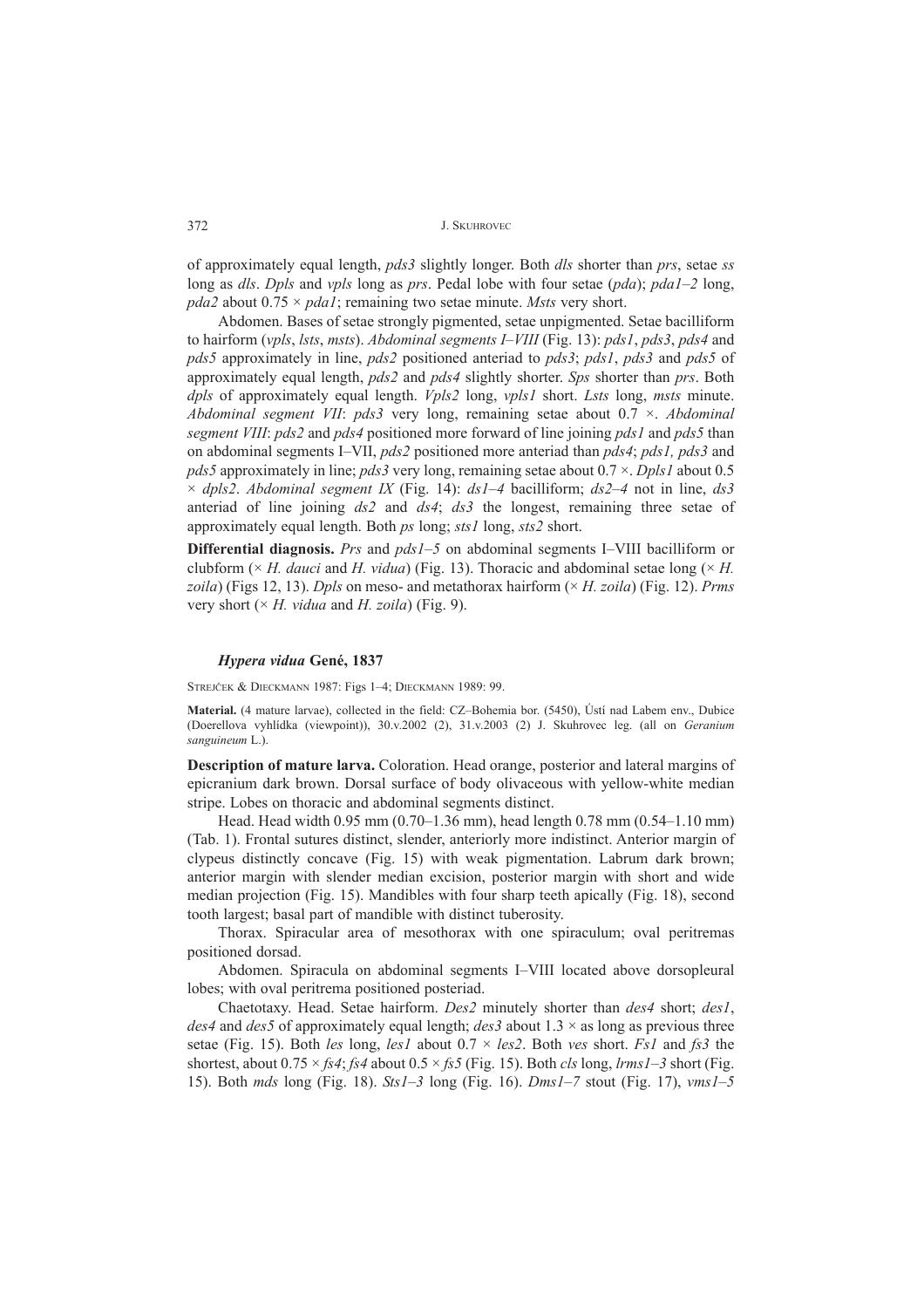of approximately equal length, *pds3* slightly longer. Both *dls* shorter than *prs*, setae *ss* long as *dls*. *Dpls* and *vpls* long as *prs*. Pedal lobe with four setae (*pda*); *pda1–2* long, *pda2* about 0.75 × *pda1*; remaining two setae minute. *Msts* very short.

Abdomen. Bases of setae strongly pigmented, setae unpigmented. Setae bacilliform to hairform (*vpls*, *lsts*, *msts*). *Abdominal segments I–VIII* (Fig. 13): *pds1*, *pds3*, *pds4* and *pds5* approximately in line, *pds2* positioned anteriad to *pds3*; *pds1*, *pds3* and *pds5* of approximately equal length, *pds2* and *pds4* slightly shorter. *Sps* shorter than *prs*. Both *dpls* of approximately equal length. *Vpls2* long, *vpls1* short. *Lsts* long, *msts* minute. *Abdominal segment VII*: *pds3* very long, remaining setae about 0.7 ×. *Abdominal segment VIII*: *pds2* and *pds4* positioned more forward of line joining *pds1* and *pds5* than on abdominal segments IñVII, *pds2* positioned more anteriad than *pds4*; *pds1, pds3* and *pds5* approximately in line; *pds3* very long, remaining setae about 0.7 ×. *Dpls1* about 0.5  $\times$  *dpls2. Abdominal segment IX* (Fig. 14): *ds1–4* bacilliform; *ds2–4* not in line, *ds3* anteriad of line joining *ds2* and *ds4*; *ds3* the longest, remaining three setae of approximately equal length. Both *ps* long; *sts1* long, *sts2* short.

**Differential diagnosis.** *Prs* and *pds1*–5 on abdominal segments I–VIII bacilliform or clubform ( $\times$  *H. dauci* and *H. vidua*) (Fig. 13). Thoracic and abdominal setae long ( $\times$  *H. zoila*) (Figs 12, 13). *Dpls* on meso- and metathorax hairform (× *H. zoila*) (Fig. 12). *Prms* very short (× *H. vidua* and *H. zoila*) (Fig. 9).

# *Hypera vidua* **GenÈ, 1837**

STREJČEK & DIECKMANN 1987: Figs 1-4; DIECKMANN 1989: 99.

**Material.** (4 mature larvae), collected in the field: CZ-Bohemia bor. (5450), Ústí nad Labem env., Dubice (Doerellova vyhlÌdka (viewpoint)), 30.v.2002 (2), 31.v.2003 (2) J. Skuhrovec leg. (all on *Geranium sanguineum* L.).

**Description of mature larva.** Coloration. Head orange, posterior and lateral margins of epicranium dark brown. Dorsal surface of body olivaceous with yellow-white median stripe. Lobes on thoracic and abdominal segments distinct.

Head. Head width  $0.95$  mm  $(0.70-1.36$  mm), head length 0.78 mm  $(0.54-1.10$  mm) (Tab. 1). Frontal sutures distinct, slender, anteriorly more indistinct. Anterior margin of clypeus distinctly concave (Fig. 15) with weak pigmentation. Labrum dark brown; anterior margin with slender median excision, posterior margin with short and wide median projection (Fig. 15). Mandibles with four sharp teeth apically (Fig. 18), second tooth largest; basal part of mandible with distinct tuberosity.

Thorax. Spiracular area of mesothorax with one spiraculum; oval peritremas positioned dorsad.

Abdomen. Spiracula on abdominal segments I-VIII located above dorsopleural lobes; with oval peritrema positioned posteriad.

Chaetotaxy. Head. Setae hairform. *Des2* minutely shorter than *des4* short; *des1*, *des4* and *des5* of approximately equal length; *des3* about 1.3 × as long as previous three setae (Fig. 15). Both *les* long, *les1* about 0.7 × *les2*. Both *ves* short. *Fs1* and *fs3* the shortest, about  $0.75 \times f\mathfrak{s}4$ ;  $f\mathfrak{s}4$  about  $0.5 \times f\mathfrak{s}5$  (Fig. 15). Both *cls* long, *lrms l*-3 short (Fig. 15). Both *mds* long (Fig. 18). *Sts1ñ3* long (Fig. 16). *Dms1ñ7* stout (Fig. 17), *vms1ñ5*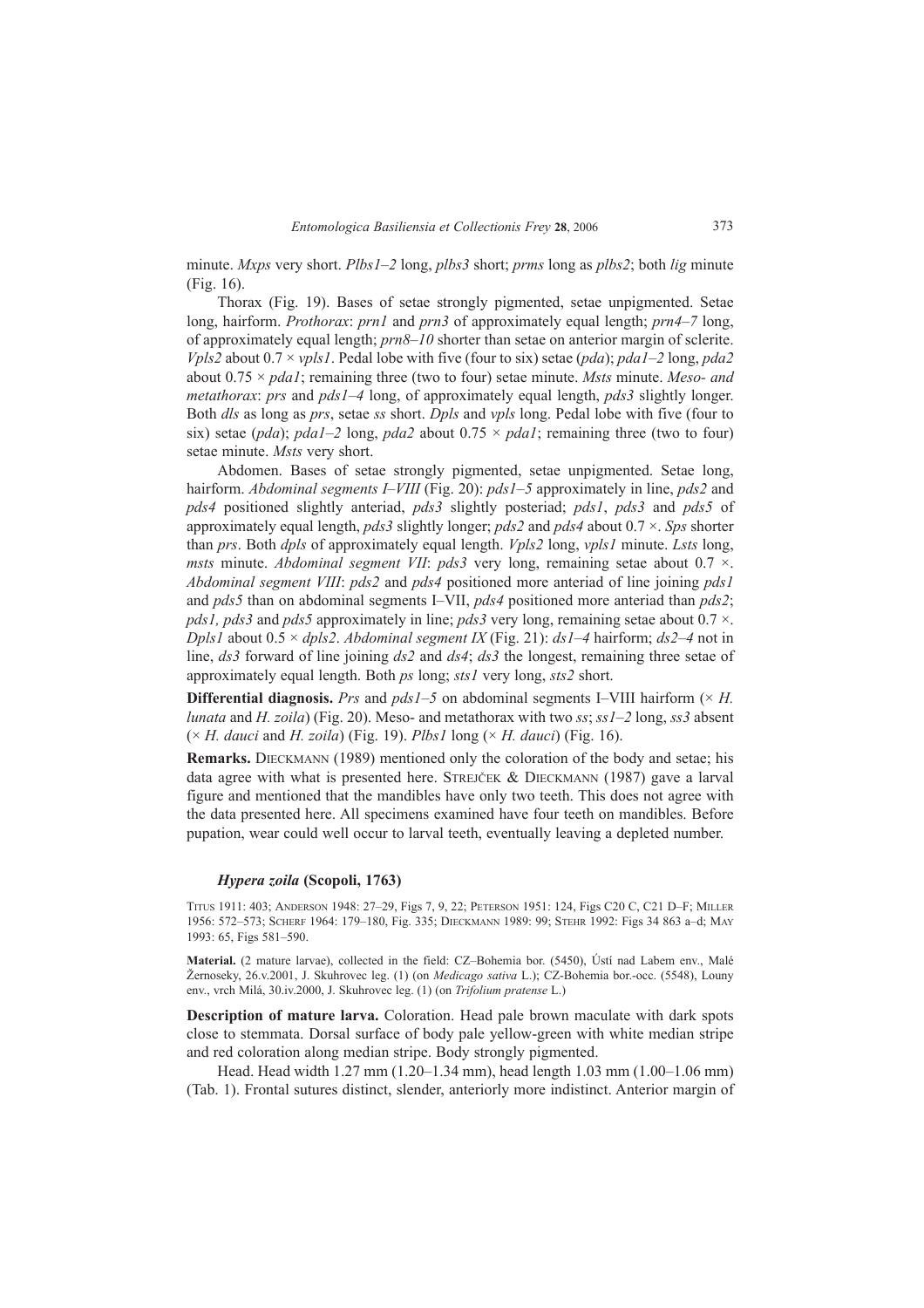minute. *Mxps* very short. *Plbs1*–2 long, *plbs3* short; *prms* long as *plbs2*; both *lig* minute (Fig. 16).

Thorax (Fig. 19). Bases of setae strongly pigmented, setae unpigmented. Setae long, hairform. *Prothorax: prn1* and *prn3* of approximately equal length; *prn4*-7 long, of approximately equal length;  $prn8–10$  shorter than setae on anterior margin of sclerite. *Vpls2* about  $0.7 \times vps1$ . Pedal lobe with five (four to six) setae (*pda*); *pda1*-2 long, *pda2* about 0.75 × *pda1*; remaining three (two to four) setae minute. *Msts* minute. *Meso- and metathorax: prs and pds1–4 long, of approximately equal length, <i>pds3* slightly longer. Both *dls* as long as *prs*, setae *ss* short. *Dpls* and *vpls* long. Pedal lobe with five (four to six) setae (*pda*); *pda1*-2 long, *pda2* about  $0.75 \times$  *pda1*; remaining three (two to four) setae minute. *Msts* very short.

Abdomen. Bases of setae strongly pigmented, setae unpigmented. Setae long, hairform. *Abdominal segments I–VIII* (Fig. 20): *pds1–5* approximately in line, *pds2* and *pds4* positioned slightly anteriad, *pds3* slightly posteriad; *pds1*, *pds3* and *pds5* of approximately equal length, *pds3* slightly longer; *pds2* and *pds4* about 0.7 ×. *Sps* shorter than *prs*. Both *dpls* of approximately equal length. *Vpls2* long, *vpls1* minute. *Lsts* long, *msts* minute. *Abdominal segment VII*: *pds3* very long, remaining setae about 0.7 ×. *Abdominal segment VIII*: *pds2* and *pds4* positioned more anteriad of line joining *pds1* and *pds5* than on abdominal segments I–VII, *pds4* positioned more anteriad than *pds2*; *pds1, pds3* and *pds5* approximately in line; *pds3* very long, remaining setae about 0.7 ×. *Dpls1* about  $0.5 \times d$ *pls2. Abdominal segment IX* (Fig. 21):  $ds$ *1-4* hairform;  $ds$ 2-4 not in line, *ds3* forward of line joining *ds2* and *ds4*; *ds3* the longest, remaining three setae of approximately equal length. Both *ps* long; *sts1* very long, *sts2* short.

**Differential diagnosis.** *Prs* and  $pdsI-5$  on abdominal segments I–VIII hairform ( $\times$  *H*. *lunata* and *H. zoila*) (Fig. 20). Meso- and metathorax with two *ss*; *ss1*-2 long, *ss3* absent (× *H. dauci* and *H. zoila*) (Fig. 19). *Plbs1* long (× *H. dauci*) (Fig. 16).

**Remarks.** DIECKMANN (1989) mentioned only the coloration of the body and setae; his data agree with what is presented here. STREJČEK & DIECKMANN (1987) gave a larval figure and mentioned that the mandibles have only two teeth. This does not agree with the data presented here. All specimens examined have four teeth on mandibles. Before pupation, wear could well occur to larval teeth, eventually leaving a depleted number.

# *Hypera zoila* **(Scopoli, 1763)**

TITUS 1911: 403; ANDERSON 1948: 27-29, Figs 7, 9, 22; PETERSON 1951: 124, Figs C20 C, C21 D-F; MILLER 1956: 572-573; SCHERF 1964: 179-180, Fig. 335; DIECKMANN 1989: 99; STEHR 1992: Figs 34 863 a-d; MAY 1993: 65, Figs 581-590.

Material. (2 mature larvae), collected in the field: CZ-Bohemia bor. (5450), Ústí nad Labem env., Malé Žernoseky, 26.v.2001, J. Skuhrovec leg. (1) (on *Medicago sativa* L.); CZ-Bohemia bor.-occ. (5548), Louny env., vrch Milá, 30.iv.2000, J. Skuhrovec leg. (1) (on *Trifolium pratense* L.)

**Description of mature larva.** Coloration. Head pale brown maculate with dark spots close to stemmata. Dorsal surface of body pale yellow-green with white median stripe and red coloration along median stripe. Body strongly pigmented.

Head. Head width 1.27 mm (1.20–1.34 mm), head length 1.03 mm (1.00–1.06 mm) (Tab. 1). Frontal sutures distinct, slender, anteriorly more indistinct. Anterior margin of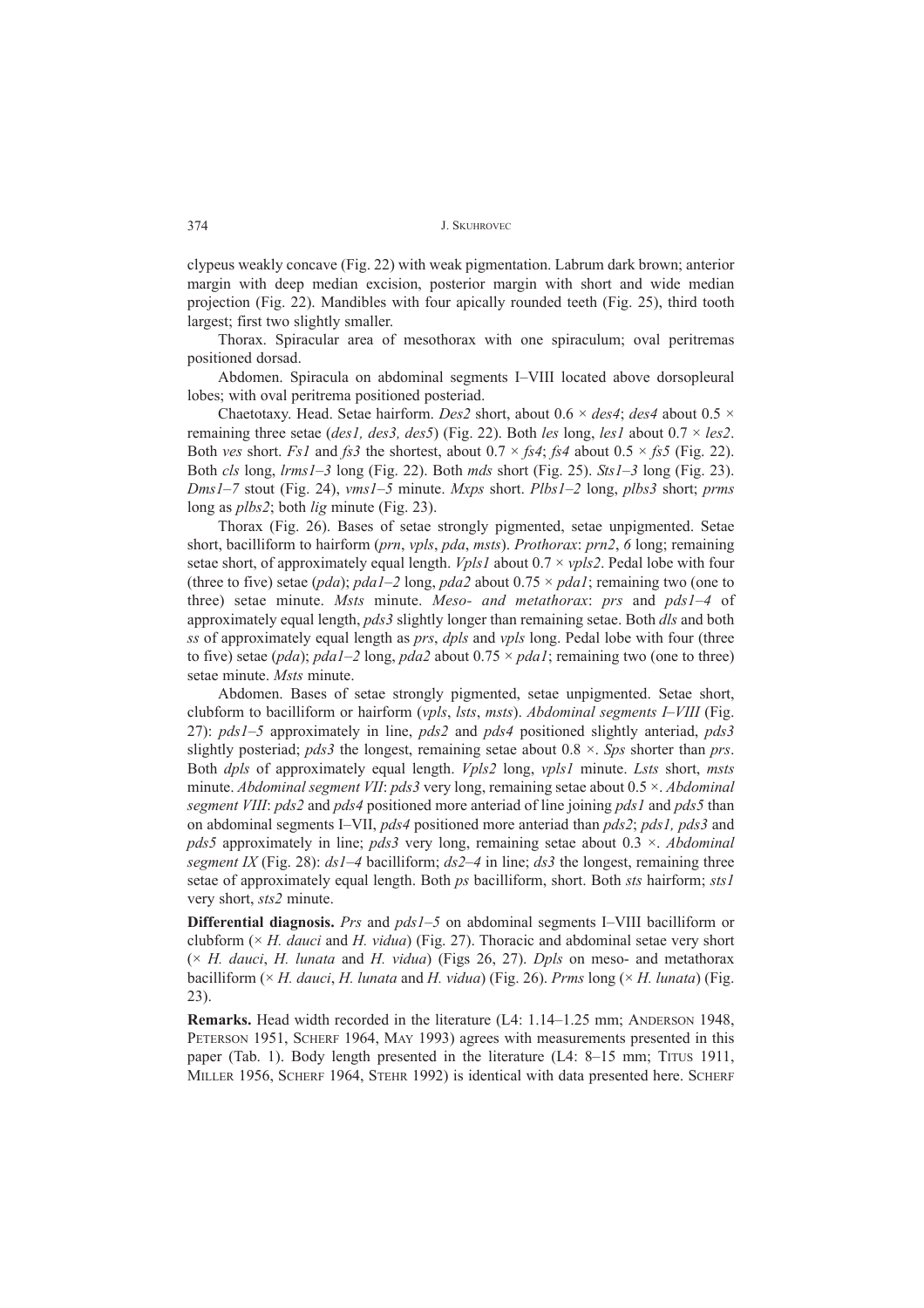clypeus weakly concave (Fig. 22) with weak pigmentation. Labrum dark brown; anterior margin with deep median excision, posterior margin with short and wide median projection (Fig. 22). Mandibles with four apically rounded teeth (Fig. 25), third tooth largest; first two slightly smaller.

Thorax. Spiracular area of mesothorax with one spiraculum; oval peritremas positioned dorsad.

Abdomen. Spiracula on abdominal segments I-VIII located above dorsopleural lobes; with oval peritrema positioned posteriad.

Chaetotaxy. Head. Setae hairform. *Des2* short, about 0.6 × *des4*; *des4* about 0.5 × remaining three setae (*des1, des3, des5*) (Fig. 22). Both *les* long, *les1* about 0.7 × *les2*. Both *ves* short. *Fs1* and *fs3* the shortest, about  $0.7 \times$  *fs4*; *fs4* about  $0.5 \times$  *fs5* (Fig. 22). Both *cls* long, *lrms1ñ3* long (Fig. 22). Both *mds* short (Fig. 25). *Sts1ñ3* long (Fig. 23). *Dms1*<sup> $-7$ </sup> stout (Fig. 24), *vms1* $-5$  minute. *Mxps* short. *Plbs1* $-2$  long, *plbs3* short; *prms* long as *plbs2*; both *lig* minute (Fig. 23).

Thorax (Fig. 26). Bases of setae strongly pigmented, setae unpigmented. Setae short, bacilliform to hairform (*prn*, *vpls*, *pda*, *msts*). *Prothorax*: *prn2*, *6* long; remaining setae short, of approximately equal length. *Vpls1* about 0.7 × *vpls2*. Pedal lobe with four (three to five) setae (*pda*); *pda1*-2 long, *pda2* about  $0.75 \times$  *pda1*; remaining two (one to three) setae minute. *Msts* minute. *Meso- and metathorax*: *prs* and *pds1-4* of approximately equal length, *pds3* slightly longer than remaining setae. Both *dls* and both *ss* of approximately equal length as *prs*, *dpls* and *vpls* long. Pedal lobe with four (three to five) setae ( $pda$ );  $pda1-2$  long,  $pda2$  about  $0.75 \times pda1$ ; remaining two (one to three) setae minute. *Msts* minute.

Abdomen. Bases of setae strongly pigmented, setae unpigmented. Setae short, clubform to bacilliform or hairform (*vpls*, *lsts*, *msts*). *Abdominal segments I-VIII* (Fig. 27): *pds1*ñ*5* approximately in line, *pds2* and *pds4* positioned slightly anteriad, *pds3* slightly posteriad; *pds3* the longest, remaining setae about 0.8 ×. *Sps* shorter than *prs*. Both *dpls* of approximately equal length. *Vpls2* long, *vpls1* minute. *Lsts* short, *msts* minute. *Abdominal segment VII*: *pds3* very long, remaining setae about 0.5 ×. *Abdominal segment VIII*: *pds2* and *pds4* positioned more anteriad of line joining *pds1* and *pds5* than on abdominal segments I–VII, *pds4* positioned more anteriad than *pds2*; *pds1*, *pds3* and *pds5* approximately in line; *pds3* very long, remaining setae about 0.3 ×. *Abdominal segment IX* (Fig. 28):  $dsI-4$  bacilliform;  $ds2-4$  in line;  $ds3$  the longest, remaining three setae of approximately equal length. Both *ps* bacilliform, short. Both *sts* hairform; *sts1* very short, *sts2* minute.

**Differential diagnosis.** *Prs* and  $pdsI-5$  on abdominal segments I-VIII bacilliform or clubform (× *H. dauci* and *H. vidua*) (Fig. 27). Thoracic and abdominal setae very short (× *H. dauci*, *H. lunata* and *H. vidua*) (Figs 26, 27). *Dpls* on meso- and metathorax bacilliform (× *H. dauci*, *H. lunata* and *H. vidua*) (Fig. 26). *Prms* long (× *H. lunata*) (Fig. 23).

**Remarks.** Head width recorded in the literature (L4: 1.14–1.25 mm; ANDERSON 1948, PETERSON 1951, SCHERF 1964, MAY 1993) agrees with measurements presented in this paper (Tab. 1). Body length presented in the literature  $(L4: 8-15 \text{ mm};$  TITUS 1911, MILLER 1956, SCHERF 1964, STEHR 1992) is identical with data presented here. SCHERF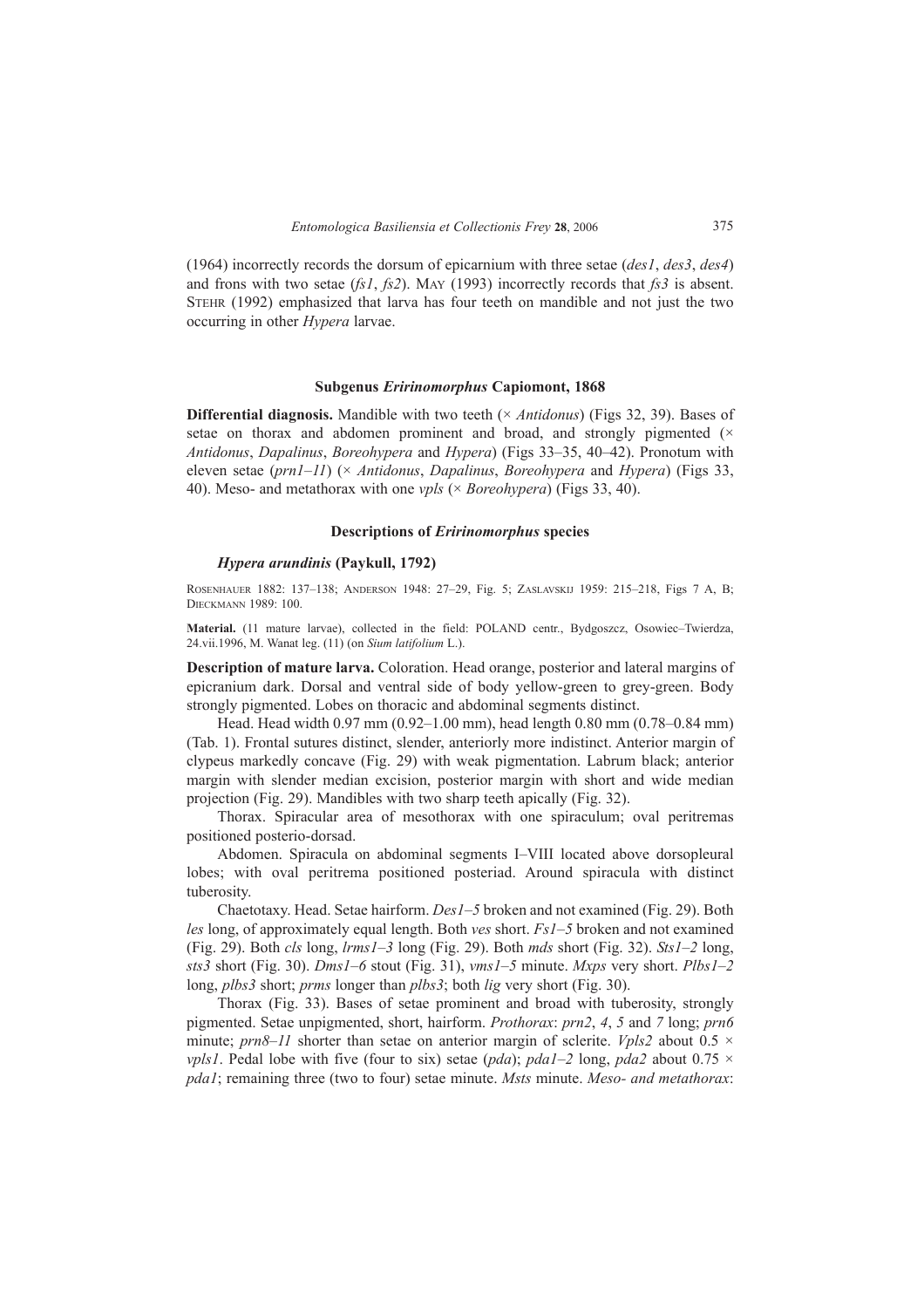(1964) incorrectly records the dorsum of epicarnium with three setae (*des1*, *des3*, *des4*) and frons with two setae (*fs1*, *fs2*). MAY (1993) incorrectly records that *fs3* is absent. STEHR (1992) emphasized that larva has four teeth on mandible and not just the two occurring in other *Hypera* larvae.

# **Subgenus** *Eririnomorphus* **Capiomont, 1868**

**Differential diagnosis.** Mandible with two teeth (× *Antidonus*) (Figs 32, 39). Bases of setae on thorax and abdomen prominent and broad, and strongly pigmented  $(\times$ *Antidonus, Dapalinus, Boreohypera* and *Hypera*) (Figs 33–35, 40–42). Pronotum with eleven setae (*prn1–11*) (× *Antidonus*, *Dapalinus*, *Boreohypera* and *Hypera*) (Figs 33, 40). Meso- and metathorax with one *vpls* (× *Boreohypera*) (Figs 33, 40).

# **Descriptions of** *Eririnomorphus* **species**

# *Hypera arundinis* **(Paykull, 1792)**

ROSENHAUER 1882: 137-138; ANDERSON 1948: 27-29, Fig. 5; ZASLAVSKIJ 1959: 215-218, Figs 7 A, B; DIECKMANN 1989: 100.

Material. (11 mature larvae), collected in the field: POLAND centr., Bydgoszcz, Osowiec-Twierdza, 24.vii.1996, M. Wanat leg. (11) (on *Sium latifolium* L.).

**Description of mature larva.** Coloration. Head orange, posterior and lateral margins of epicranium dark. Dorsal and ventral side of body yellow-green to grey-green. Body strongly pigmented. Lobes on thoracic and abdominal segments distinct.

Head. Head width  $0.97$  mm ( $0.92-1.00$  mm), head length 0.80 mm (0.78–0.84 mm) (Tab. 1). Frontal sutures distinct, slender, anteriorly more indistinct. Anterior margin of clypeus markedly concave (Fig. 29) with weak pigmentation. Labrum black; anterior margin with slender median excision, posterior margin with short and wide median projection (Fig. 29). Mandibles with two sharp teeth apically (Fig. 32).

Thorax. Spiracular area of mesothorax with one spiraculum; oval peritremas positioned posterio-dorsad.

Abdomen. Spiracula on abdominal segments I-VIII located above dorsopleural lobes; with oval peritrema positioned posteriad. Around spiracula with distinct tuberosity.

Chaetotaxy. Head. Setae hairform. *Des1ñ5* broken and not examined (Fig. 29). Both *les* long, of approximately equal length. Both *ves* short. *Fs1*–5 broken and not examined (Fig. 29). Both *cls* long,  $lrms1–3$  long (Fig. 29). Both *mds* short (Fig. 32). *Sts1–2* long, *sts3* short (Fig. 30). *Dms1*–6 stout (Fig. 31), *vms1*–5 minute. *Mxps* very short. *Plbs1–2* long, *plbs3* short; *prms* longer than *plbs3*; both *lig* very short (Fig. 30).

Thorax (Fig. 33). Bases of setae prominent and broad with tuberosity, strongly pigmented. Setae unpigmented, short, hairform. *Prothorax*: *prn2*, *4*, *5* and *7* long; *prn6* minute;  $prn8–11$  shorter than setae on anterior margin of sclerite. *Vpls2* about 0.5  $\times$ *vpls1*. Pedal lobe with five (four to six) setae (*pda*); *pda1*-2 long, *pda2* about 0.75  $\times$ *pda1*; remaining three (two to four) setae minute. *Msts* minute. *Meso- and metathorax*: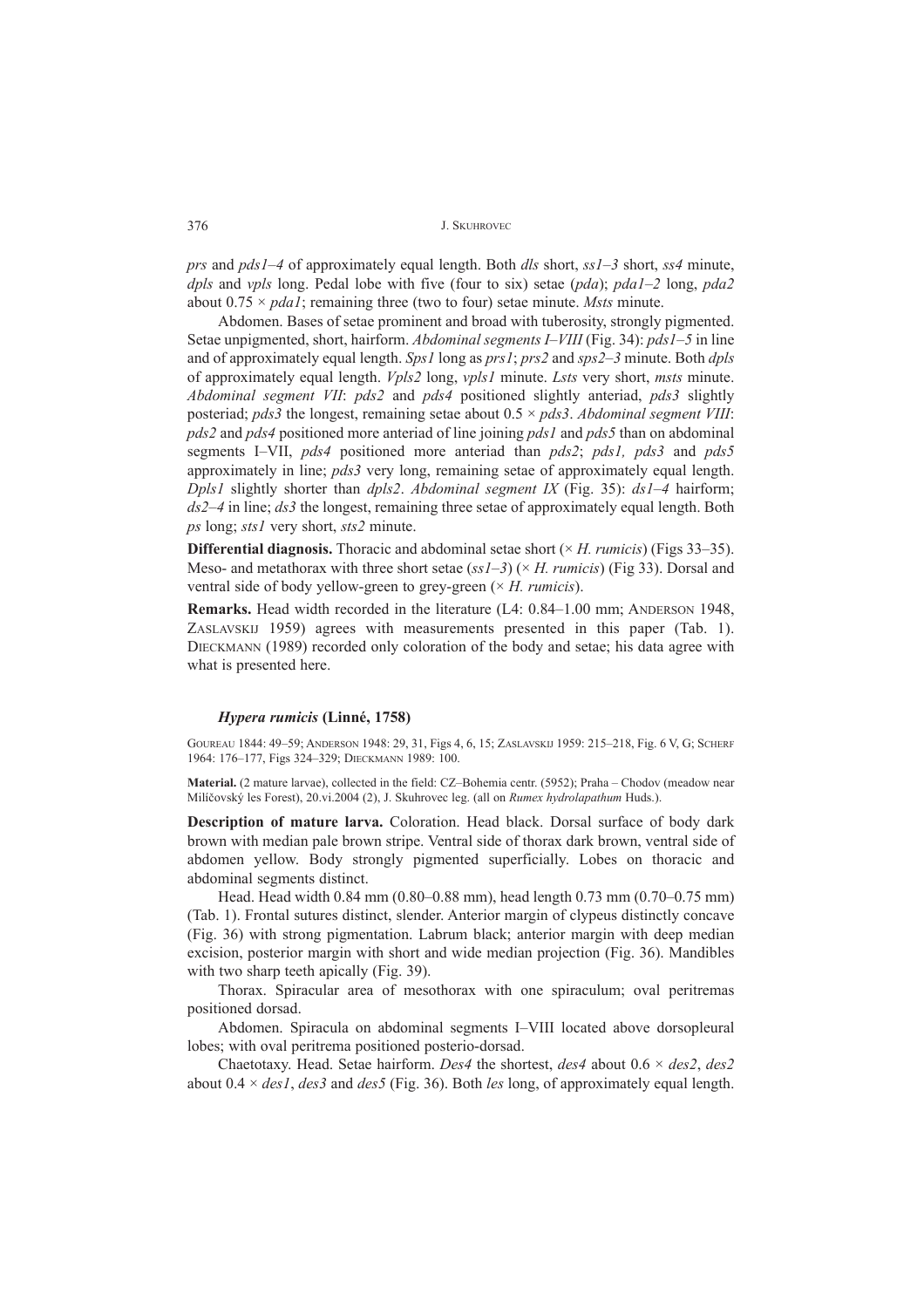*prs* and *pds1–4* of approximately equal length. Both *dls* short, *ss1–3* short, *ss4* minute, *dpls* and *vpls* long. Pedal lobe with five (four to six) setae (*pda*); *pda1-2* long, *pda2* about  $0.75 \times pdal$ ; remaining three (two to four) setae minute. *Msts* minute.

Abdomen. Bases of setae prominent and broad with tuberosity, strongly pigmented. Setae unpigmented, short, hairform. *Abdominal segments I–VIII* (Fig. 34): *pds1–5* in line and of approximately equal length. *Sps1* long as *prs1*; *prs2* and *sps2*–3 minute. Both *dpls* of approximately equal length. *Vpls2* long, *vpls1* minute. *Lsts* very short, *msts* minute. *Abdominal segment VII*: *pds2* and *pds4* positioned slightly anteriad, *pds3* slightly posteriad; *pds3* the longest, remaining setae about 0.5 × *pds3*. *Abdominal segment VIII*: *pds2* and *pds4* positioned more anteriad of line joining *pds1* and *pds5* than on abdominal segments IñVII, *pds4* positioned more anteriad than *pds2*; *pds1, pds3* and *pds5* approximately in line; *pds3* very long, remaining setae of approximately equal length. *Dpls1* slightly shorter than  $dpls2$ . *Abdominal segment IX* (Fig. 35):  $ds1-4$  hairform; *ds2–4* in line; *ds3* the longest, remaining three setae of approximately equal length. Both *ps* long; *sts1* very short, *sts2* minute.

**Differential diagnosis.** Thoracic and abdominal setae short  $(\times H.$  *rumicis*) (Figs 33–35). Meso- and metathorax with three short setae ( $ssI-3$ ) ( $\times$  *H. rumicis*) (Fig 33). Dorsal and ventral side of body yellow-green to grey-green (× *H. rumicis*).

**Remarks.** Head width recorded in the literature (L4: 0.84–1.00 mm; ANDERSON 1948, ZASLAVSKIJ 1959) agrees with measurements presented in this paper (Tab. 1). DIECKMANN (1989) recorded only coloration of the body and setae; his data agree with what is presented here.

# *Hypera rumicis* **(LinnÈ, 1758)**

GOUREAU 1844: 49-59; ANDERSON 1948: 29, 31, Figs 4, 6, 15; ZASLAVSKIJ 1959: 215-218, Fig. 6 V, G; SCHERF 1964: 176-177, Figs 324-329; DIECKMANN 1989: 100.

Material. (2 mature larvae), collected in the field: CZ-Bohemia centr. (5952); Praha - Chodov (meadow near Milíčovský les Forest), 20.vi.2004 (2), J. Skuhrovec leg. (all on *Rumex hydrolapathum* Huds.).

**Description of mature larva.** Coloration. Head black. Dorsal surface of body dark brown with median pale brown stripe. Ventral side of thorax dark brown, ventral side of abdomen yellow. Body strongly pigmented superficially. Lobes on thoracic and abdominal segments distinct.

Head. Head width 0.84 mm (0.80–0.88 mm), head length 0.73 mm (0.70–0.75 mm) (Tab. 1). Frontal sutures distinct, slender. Anterior margin of clypeus distinctly concave (Fig. 36) with strong pigmentation. Labrum black; anterior margin with deep median excision, posterior margin with short and wide median projection (Fig. 36). Mandibles with two sharp teeth apically (Fig. 39).

Thorax. Spiracular area of mesothorax with one spiraculum; oval peritremas positioned dorsad.

Abdomen. Spiracula on abdominal segments I-VIII located above dorsopleural lobes; with oval peritrema positioned posterio-dorsad.

Chaetotaxy. Head. Setae hairform. *Des4* the shortest, *des4* about 0.6 × *des2*, *des2* about 0.4 × *des1*, *des3* and *des5* (Fig. 36). Both *les* long, of approximately equal length.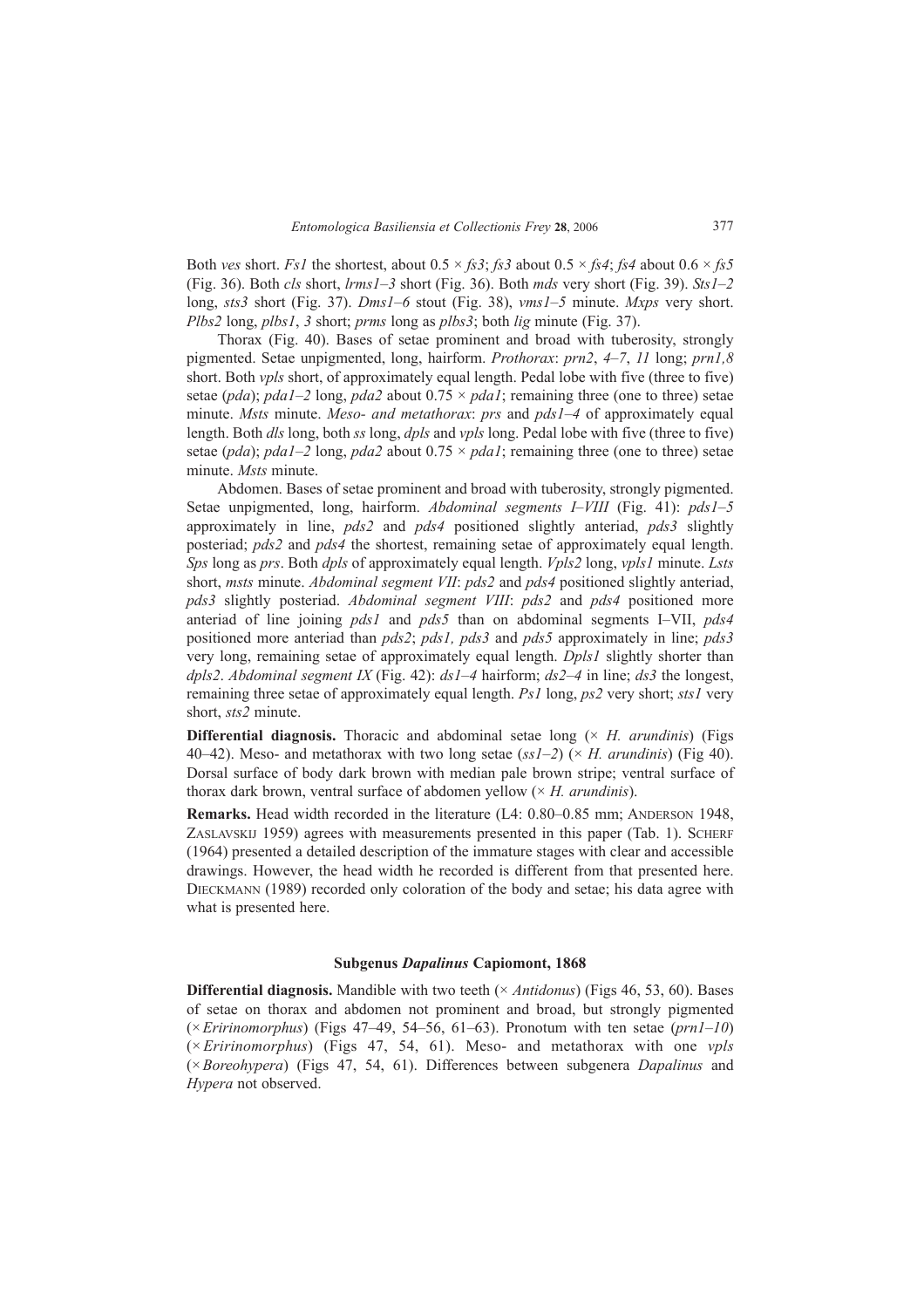Both *ves* short. *Fs1* the shortest, about  $0.5 \times f_s3$ ; *fs3* about  $0.5 \times f_s4$ ; *fs4* about  $0.6 \times f_s5$ (Fig. 36). Both  $cls$  short,  $lrms1–3$  short (Fig. 36). Both  $mds$  very short (Fig. 39).  $Sts1–2$ long, *sts3* short (Fig. 37). *Dms1*-6 stout (Fig. 38), *vms1*-5 minute. *Mxps* very short. *Plbs2* long, *plbs1*, *3* short; *prms* long as *plbs3*; both *lig* minute (Fig. 37).

Thorax (Fig. 40). Bases of setae prominent and broad with tuberosity, strongly pigmented. Setae unpigmented, long, hairform. *Prothorax*: *prn2*, *4*ñ*7*, *11* long; *prn1,8* short. Both *vpls* short, of approximately equal length. Pedal lobe with five (three to five) setae (*pda*); *pda1*-2 long, *pda2* about  $0.75 \times$  *pda1*; remaining three (one to three) setae minute. *Msts* minute. *Meso- and metathorax*: *prs* and *pds1–4* of approximately equal length. Both *dls* long, both *ss* long, *dpls* and *vpls* long. Pedal lobe with five (three to five) setae (*pda*); *pda1*–2 long, *pda2* about  $0.75 \times$  *pda1*; remaining three (one to three) setae minute. *Msts* minute.

Abdomen. Bases of setae prominent and broad with tuberosity, strongly pigmented. Setae unpigmented, long, hairform. *Abdominal segments I-VIII* (Fig. 41): *pds1-5* approximately in line, *pds2* and *pds4* positioned slightly anteriad, *pds3* slightly posteriad; *pds2* and *pds4* the shortest, remaining setae of approximately equal length. *Sps* long as *prs*. Both *dpls* of approximately equal length. *Vpls2* long, *vpls1* minute. *Lsts* short, *msts* minute. *Abdominal segment VII*: *pds2* and *pds4* positioned slightly anteriad, *pds3* slightly posteriad. *Abdominal segment VIII*: *pds2* and *pds4* positioned more anteriad of line joining *pds1* and *pds5* than on abdominal segments I-VII, *pds4* positioned more anteriad than *pds2*; *pds1, pds3* and *pds5* approximately in line; *pds3* very long, remaining setae of approximately equal length. *Dpls1* slightly shorter than *dpls2. Abdominal segment IX* (Fig. 42):  $dsI-4$  hairform;  $ds2-4$  in line;  $ds3$  the longest, remaining three setae of approximately equal length. *Ps1* long, *ps2* very short; *sts1* very short, *sts2* minute.

**Differential diagnosis.** Thoracic and abdominal setae long (× *H. arundinis*) (Figs 40–42). Meso- and metathorax with two long setae  $(ssl-2)$  ( $\times$  *H. arundinis*) (Fig 40). Dorsal surface of body dark brown with median pale brown stripe; ventral surface of thorax dark brown, ventral surface of abdomen yellow (× *H. arundinis*).

**Remarks.** Head width recorded in the literature (L4: 0.80–0.85 mm; ANDERSON 1948, ZASLAVSKIJ 1959) agrees with measurements presented in this paper (Tab. 1). SCHERF (1964) presented a detailed description of the immature stages with clear and accessible drawings. However, the head width he recorded is different from that presented here. DIECKMANN (1989) recorded only coloration of the body and setae; his data agree with what is presented here.

# **Subgenus** *Dapalinus* **Capiomont, 1868**

**Differential diagnosis.** Mandible with two teeth (× *Antidonus*) (Figs 46, 53, 60). Bases of setae on thorax and abdomen not prominent and broad, but strongly pigmented  $(\times Eririnomorphus)$  (Figs 47–49, 54–56, 61–63). Pronotum with ten setae ( $prn1-10$ ) (× *Eririnomorphus*) (Figs 47, 54, 61). Meso- and metathorax with one *vpls* (×*Boreohypera*) (Figs 47, 54, 61). Differences between subgenera *Dapalinus* and *Hypera* not observed.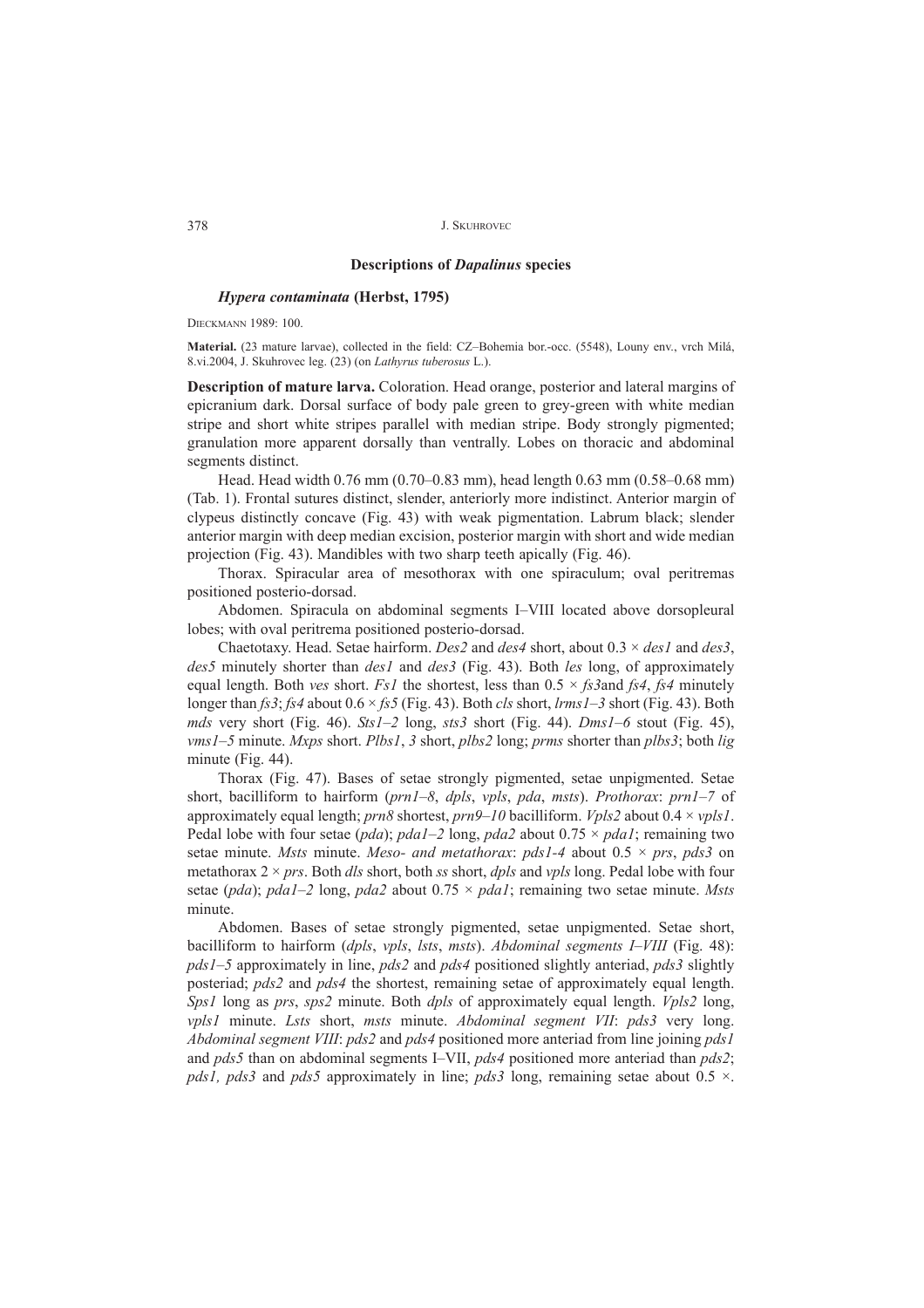# **Descriptions of** *Dapalinus* **species**

# *Hypera contaminata* **(Herbst, 1795)**

DIECKMANN 1989: 100.

Material. (23 mature larvae), collected in the field: CZ-Bohemia bor.-occ. (5548), Louny env., vrch Milá, 8.vi.2004, J. Skuhrovec leg. (23) (on *Lathyrus tuberosus* L.).

**Description of mature larva.** Coloration. Head orange, posterior and lateral margins of epicranium dark. Dorsal surface of body pale green to grey-green with white median stripe and short white stripes parallel with median stripe. Body strongly pigmented; granulation more apparent dorsally than ventrally. Lobes on thoracic and abdominal segments distinct.

Head. Head width 0.76 mm (0.70–0.83 mm), head length 0.63 mm (0.58–0.68 mm) (Tab. 1). Frontal sutures distinct, slender, anteriorly more indistinct. Anterior margin of clypeus distinctly concave (Fig. 43) with weak pigmentation. Labrum black; slender anterior margin with deep median excision, posterior margin with short and wide median projection (Fig. 43). Mandibles with two sharp teeth apically (Fig. 46).

Thorax. Spiracular area of mesothorax with one spiraculum; oval peritremas positioned posterio-dorsad.

Abdomen. Spiracula on abdominal segments I-VIII located above dorsopleural lobes; with oval peritrema positioned posterio-dorsad.

Chaetotaxy. Head. Setae hairform. *Des2* and *des4* short, about 0.3 × *des1* and *des3*, *des5* minutely shorter than *des1* and *des3* (Fig. 43). Both *les* long, of approximately equal length. Both *ves* short. *Fs1* the shortest, less than 0.5 × *fs3*and *fs4*, *fs4* minutely longer than  $fs3; fs4$  about  $0.6 \times fs5$  (Fig. 43). Both *cls* short, *lrms1*–3 short (Fig. 43). Both *mds* very short (Fig. 46). *Sts1* $-2$  long, *sts3* short (Fig. 44). *Dms1* $-6$  stout (Fig. 45), *vms1*–5 minute. *Mxps* short. *Plbs1*, 3 short, *plbs2* long; *prms* shorter than *plbs3*; both *lig* minute (Fig. 44).

Thorax (Fig. 47). Bases of setae strongly pigmented, setae unpigmented. Setae short, bacilliform to hairform (*prn1–8*, *dpls*, *vpls*, *pda*, *msts*). *Prothorax: prn1–7* of approximately equal length; *prn8* shortest, *prn9*-10 bacilliform. *Vpls2* about 0.4 × *vpls1*. Pedal lobe with four setae ( $pda$ );  $pda1-2$  long,  $pda2$  about  $0.75 \times pda1$ ; remaining two setae minute. *Msts* minute. *Meso- and metathorax*: *pds1-4* about 0.5 × *prs*, *pds3* on metathorax 2 × *prs*. Both *dls* short, both *ss* short, *dpls* and *vpls* long. Pedal lobe with four setae ( $pda$ );  $pda1-2$  long,  $pda2$  about  $0.75 \times pda1$ ; remaining two setae minute. *Msts* minute.

Abdomen. Bases of setae strongly pigmented, setae unpigmented. Setae short, bacilliform to hairform (*dpls*, *vpls*, *lsts*, *msts*). *Abdominal segments I-VIII* (Fig. 48): *pds1*ñ*5* approximately in line, *pds2* and *pds4* positioned slightly anteriad, *pds3* slightly posteriad; *pds2* and *pds4* the shortest, remaining setae of approximately equal length. *Sps1* long as *prs*, *sps2* minute. Both *dpls* of approximately equal length. *Vpls2* long, *vpls1* minute. *Lsts* short, *msts* minute. *Abdominal segment VII*: *pds3* very long. *Abdominal segment VIII*: *pds2* and *pds4* positioned more anteriad from line joining *pds1* and *pds5* than on abdominal segments I–VII, *pds4* positioned more anteriad than *pds2*; *pds1, pds3* and *pds5* approximately in line; *pds3* long, remaining setae about 0.5 ×.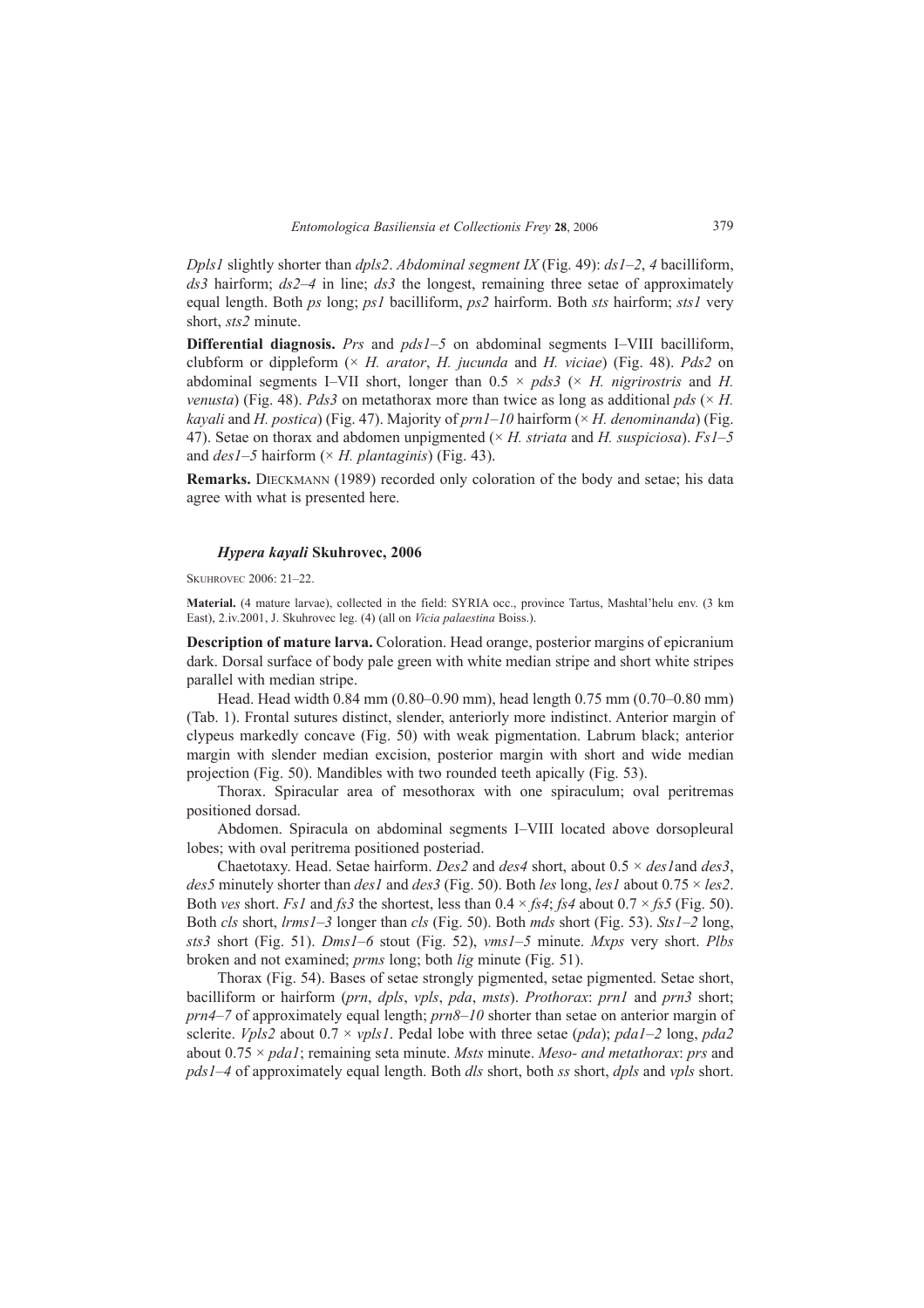*Dpls1* slightly shorter than *dpls2*. *Abdominal segment IX* (Fig. 49):  $dsI-2$ , 4 bacilliform,  $ds3$  hairform;  $ds2-4$  in line;  $ds3$  the longest, remaining three setae of approximately equal length. Both *ps* long; *ps1* bacilliform, *ps2* hairform. Both *sts* hairform; *sts1* very short, *sts2* minute.

**Differential diagnosis.** *Prs* and  $pdsI - 5$  on abdominal segments I-VIII bacilliform, clubform or dippleform (× *H. arator*, *H. jucunda* and *H. viciae*) (Fig. 48). *Pds2* on abdominal segments I-VII short, longer than  $0.5 \times pds3$  ( $\times$  *H. nigrirostris* and *H. venusta*) (Fig. 48). *Pds3* on metathorax more than twice as long as additional *pds* ( $\times$  *H. kayali* and *H. postica*) (Fig. 47). Majority of  $prn1-10$  hairform ( $\times$  *H. denominanda*) (Fig. 47). Setae on thorax and abdomen unpigmented ( $\times$  *H. striata* and *H. suspiciosa*). *Fs1*-5 and  $des1-5$  hairform ( $\times$  *H. plantaginis*) (Fig. 43).

**Remarks.** DIECKMANN (1989) recorded only coloration of the body and setae; his data agree with what is presented here.

# *Hypera kayali* **Skuhrovec, 2006**

SKUHROVEC 2006: 21-22.

Material. (4 mature larvae), collected in the field: SYRIA occ., province Tartus, Mashtal'helu env. (3 km East), 2.iv.2001, J. Skuhrovec leg. (4) (all on *Vicia palaestina* Boiss.).

**Description of mature larva.** Coloration. Head orange, posterior margins of epicranium dark. Dorsal surface of body pale green with white median stripe and short white stripes parallel with median stripe.

Head. Head width 0.84 mm (0.80–0.90 mm), head length 0.75 mm (0.70–0.80 mm) (Tab. 1). Frontal sutures distinct, slender, anteriorly more indistinct. Anterior margin of clypeus markedly concave (Fig. 50) with weak pigmentation. Labrum black; anterior margin with slender median excision, posterior margin with short and wide median projection (Fig. 50). Mandibles with two rounded teeth apically (Fig. 53).

Thorax. Spiracular area of mesothorax with one spiraculum; oval peritremas positioned dorsad.

Abdomen. Spiracula on abdominal segments I-VIII located above dorsopleural lobes; with oval peritrema positioned posteriad.

Chaetotaxy. Head. Setae hairform. *Des2* and *des4* short, about 0.5 × *des1*and *des3*, *des5* minutely shorter than *des1* and *des3* (Fig. 50). Both *les* long, *les1* about 0.75  $\times$  *les2*. Both *ves* short. *Fs1* and *fs3* the shortest, less than  $0.4 \times f\mathfrak{s}4$ ; *fs4* about  $0.7 \times f\mathfrak{s}5$  (Fig. 50). Both *cls* short, *lrms1*–3 longer than *cls* (Fig. 50). Both *mds* short (Fig. 53). *Sts1*–2 long, *sts3* short (Fig. 51). *Dms1ñ6* stout (Fig. 52), *vms1ñ5* minute. *Mxps* very short. *Plbs* broken and not examined; *prms* long; both *lig* minute (Fig. 51).

Thorax (Fig. 54). Bases of setae strongly pigmented, setae pigmented. Setae short, bacilliform or hairform (*prn*, *dpls*, *vpls*, *pda*, *msts*). *Prothorax*: *prn1* and *prn3* short; *prn4*–7 of approximately equal length; *prn8*–10 shorter than setae on anterior margin of sclerite. *Vpls2* about  $0.7 \times vpls1$ . Pedal lobe with three setae (*pda*); *pda1-2* long, *pda2* about 0.75 × *pda1*; remaining seta minute. *Msts* minute. *Meso- and metathorax*: *prs* and *pds1ñ4* of approximately equal length. Both *dls* short, both *ss* short, *dpls* and *vpls* short.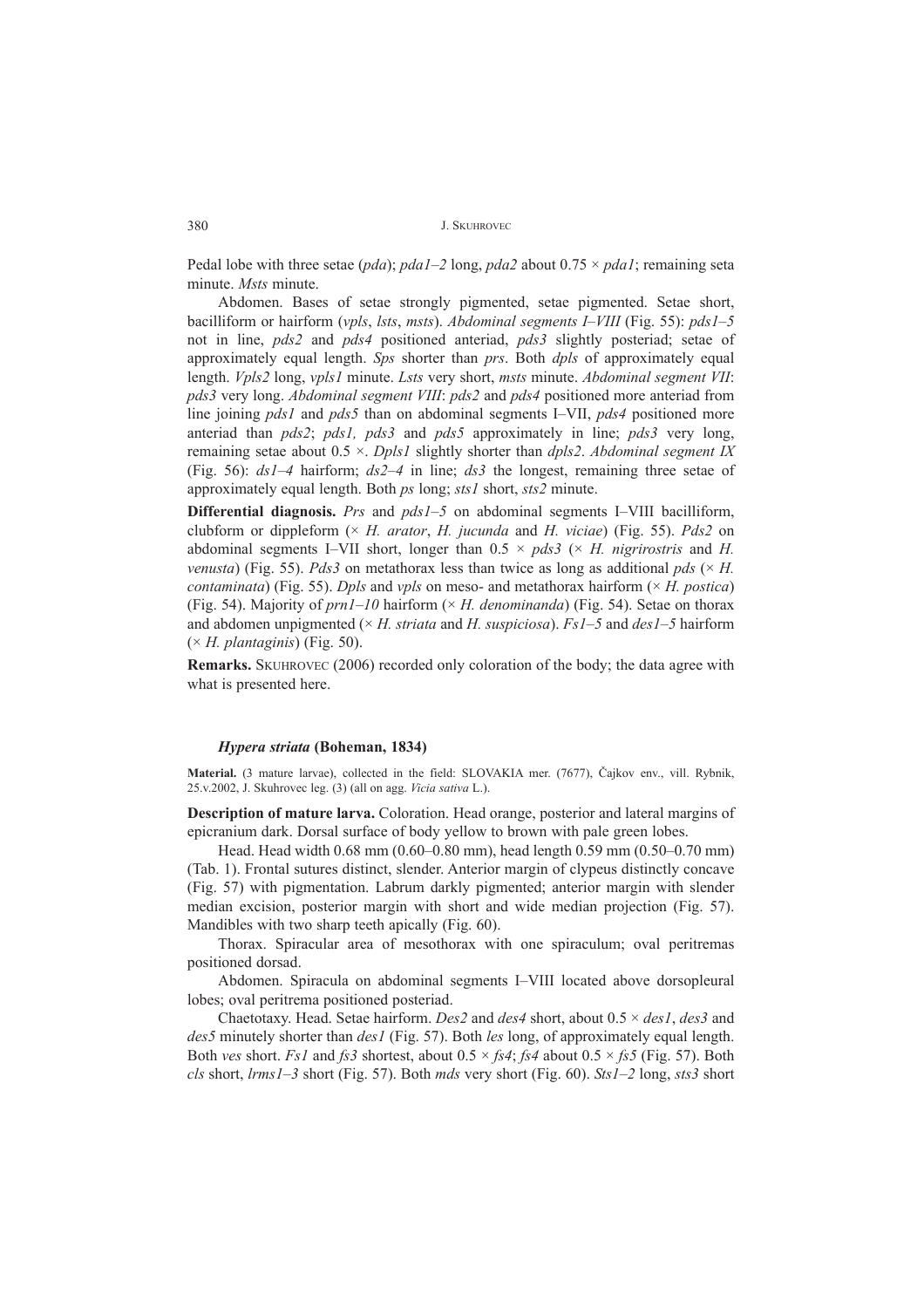Pedal lobe with three setae (*pda*); *pda1*–2 long, *pda2* about 0.75  $\times$  *pda1*; remaining seta minute. *Msts* minute.

Abdomen. Bases of setae strongly pigmented, setae pigmented. Setae short, bacilliform or hairform (*vpls*, *lsts*, *msts*). *Abdominal segments I-VIII* (Fig. 55): *pds1-5* not in line, *pds2* and *pds4* positioned anteriad, *pds3* slightly posteriad; setae of approximately equal length. *Sps* shorter than *prs*. Both *dpls* of approximately equal length. *Vpls2* long, *vpls1* minute. *Lsts* very short, *msts* minute. *Abdominal segment VII*: *pds3* very long. *Abdominal segment VIII*: *pds2* and *pds4* positioned more anteriad from line joining *pds1* and *pds5* than on abdominal segments I–VII, *pds4* positioned more anteriad than *pds2*; *pds1, pds3* and *pds5* approximately in line; *pds3* very long, remaining setae about 0.5 ×. *Dpls1* slightly shorter than *dpls2*. *Abdominal segment IX* (Fig. 56):  $dsI-4$  hairform;  $ds2-4$  in line;  $ds3$  the longest, remaining three setae of approximately equal length. Both *ps* long; *sts1* short, *sts2* minute.

**Differential diagnosis.** *Prs* and *pds1*-5 on abdominal segments I-VIII bacilliform, clubform or dippleform (× *H. arator*, *H. jucunda* and *H. viciae*) (Fig. 55). *Pds2* on abdominal segments I–VII short, longer than  $0.5 \times pds3$  ( $\times$  *H. nigrirostris* and *H. venusta*) (Fig. 55). *Pds3* on metathorax less than twice as long as additional  $pds$  ( $\times$  *H. contaminata*) (Fig. 55). *Dpls* and *vpls* on meso- and metathorax hairform ( $\times$  *H. postica*) (Fig. 54). Majority of  $prn1-10$  hairform ( $\times$  *H. denominanda*) (Fig. 54). Setae on thorax and abdomen unpigmented ( $\times$  *H. striata* and *H. suspiciosa*). *Fs1*–5 and *des1*–5 hairform (× *H. plantaginis*) (Fig. 50).

**Remarks.** SKUHROVEC (2006) recorded only coloration of the body; the data agree with what is presented here.

# *Hypera striata* **(Boheman, 1834)**

Material. (3 mature larvae), collected in the field: SLOVAKIA mer. (7677), Čajkov env., vill. Rybnik, 25.v.2002, J. Skuhrovec leg. (3) (all on agg. *Vicia sativa* L.).

**Description of mature larva.** Coloration. Head orange, posterior and lateral margins of epicranium dark. Dorsal surface of body yellow to brown with pale green lobes.

Head. Head width  $0.68$  mm ( $0.60-0.80$  mm), head length 0.59 mm ( $0.50-0.70$  mm) (Tab. 1). Frontal sutures distinct, slender. Anterior margin of clypeus distinctly concave (Fig. 57) with pigmentation. Labrum darkly pigmented; anterior margin with slender median excision, posterior margin with short and wide median projection (Fig. 57). Mandibles with two sharp teeth apically (Fig. 60).

Thorax. Spiracular area of mesothorax with one spiraculum; oval peritremas positioned dorsad.

Abdomen. Spiracula on abdominal segments I-VIII located above dorsopleural lobes; oval peritrema positioned posteriad.

Chaetotaxy. Head. Setae hairform. *Des2* and *des4* short, about 0.5 × *des1*, *des3* and *des5* minutely shorter than *des1* (Fig. 57). Both *les* long, of approximately equal length. Both *ves* short. *Fs1* and *fs3* shortest, about 0.5 × *fs4*; *fs4* about 0.5 × *fs5* (Fig. 57). Both *cls short, lrms1-3 short (Fig. 57). Both <i>mds* very short (Fig. 60). *Sts1-2 long, sts3 short*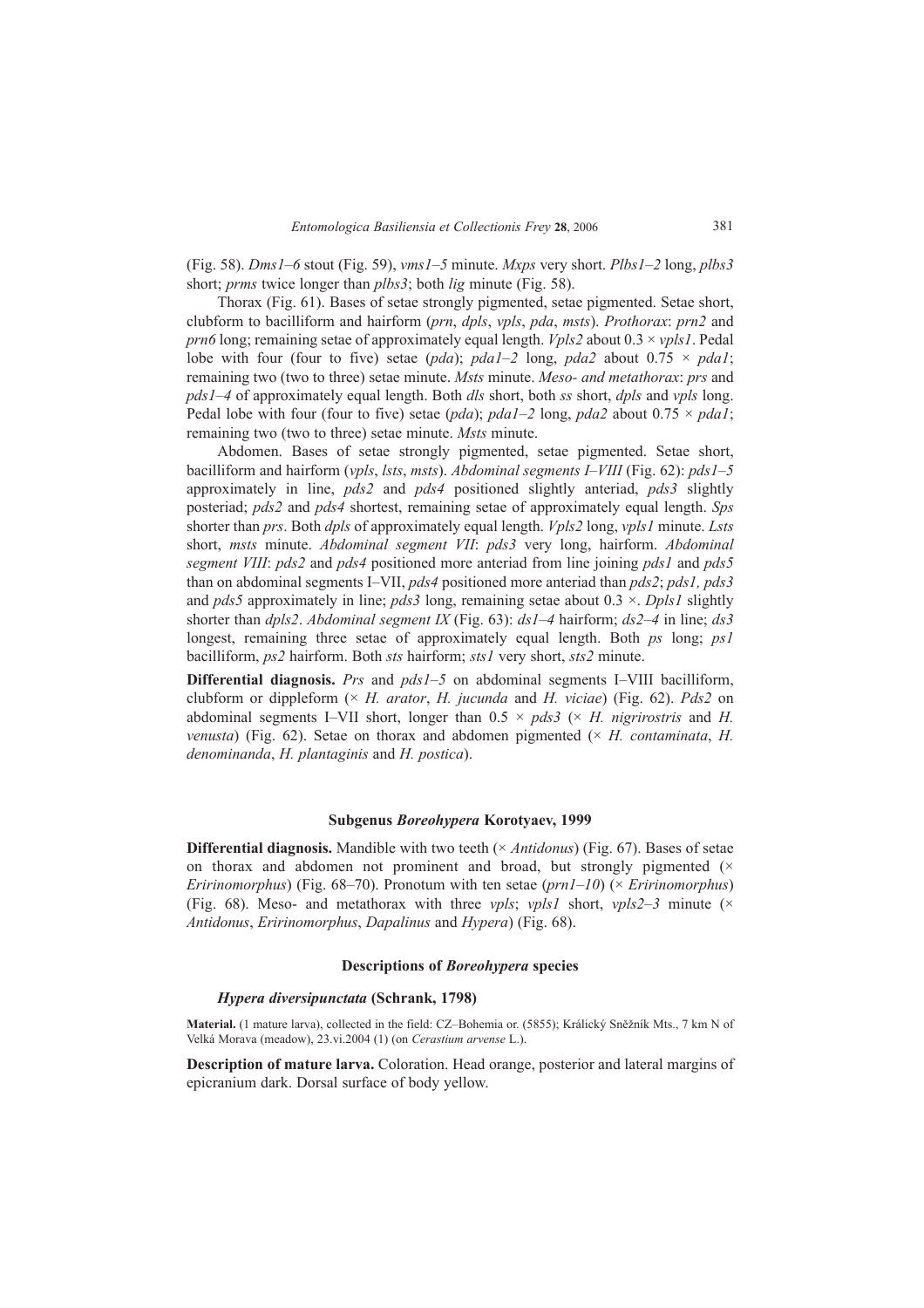(Fig. 58). *Dms1* $-6$  stout (Fig. 59), *vms1* $-5$  minute. *Mxps* very short. *Plbs1* $-2$  long, *plbs3* short; *prms* twice longer than *plbs3*; both *lig* minute (Fig. 58).

Thorax (Fig. 61). Bases of setae strongly pigmented, setae pigmented. Setae short, clubform to bacilliform and hairform (*prn*, *dpls*, *vpls*, *pda*, *msts*). *Prothorax*: *prn2* and *prn6* long; remaining setae of approximately equal length. *Vpls2* about 0.3 × *vpls1*. Pedal lobe with four (four to five) setae (*pda*); *pda1*-2 long, *pda2* about  $0.75 \times$  *pda1*; remaining two (two to three) setae minute. *Msts* minute. *Meso- and metathorax*: *prs* and *pds1ñ4* of approximately equal length. Both *dls* short, both *ss* short, *dpls* and *vpls* long. Pedal lobe with four (four to five) setae (*pda*); *pda1*-2 long, *pda2* about  $0.75 \times$  *pda1*; remaining two (two to three) setae minute. *Msts* minute.

Abdomen. Bases of setae strongly pigmented, setae pigmented. Setae short, bacilliform and hairform (*vpls*, *lsts*, *msts*). *Abdominal segments I–VIII* (Fig. 62): *pds1–5* approximately in line, *pds2* and *pds4* positioned slightly anteriad, *pds3* slightly posteriad; *pds2* and *pds4* shortest, remaining setae of approximately equal length. *Sps* shorter than *prs*. Both *dpls* of approximately equal length. *Vpls2* long, *vpls1* minute. *Lsts* short, *msts* minute. *Abdominal segment VII*: *pds3* very long, hairform. *Abdominal segment VIII*: *pds2* and *pds4* positioned more anteriad from line joining *pds1* and *pds5* than on abdominal segments I–VII, *pds4* positioned more anteriad than *pds2*; *pds1*, *pds3* and *pds5* approximately in line; *pds3* long, remaining setae about 0.3 ×. *Dpls1* slightly shorter than  $dpls2$ . *Abdominal segment IX* (Fig. 63):  $ds1-4$  hairform;  $ds2-4$  in line;  $ds3$ longest, remaining three setae of approximately equal length. Both *ps* long; *ps1* bacilliform, *ps2* hairform. Both *sts* hairform; *sts1* very short, *sts2* minute.

**Differential diagnosis.** *Prs* and  $pdsI-5$  on abdominal segments I-VIII bacilliform, clubform or dippleform (× *H. arator*, *H. jucunda* and *H. viciae*) (Fig. 62). *Pds2* on abdominal segments I-VII short, longer than  $0.5 \times pds3$  ( $\times$  *H. nigrirostris* and *H. venusta*) (Fig. 62). Setae on thorax and abdomen pigmented  $(\times H.$  *contaminata, H. denominanda*, *H. plantaginis* and *H. postica*).

# **Subgenus** *Boreohypera* **Korotyaev, 1999**

**Differential diagnosis.** Mandible with two teeth (× *Antidonus*) (Fig. 67). Bases of setae on thorax and abdomen not prominent and broad, but strongly pigmented  $(x)$ *Eririnomorphus*) (Fig. 68–70). Pronotum with ten setae ( $prn1-10$ ) ( $\times$  *Eririnomorphus*) (Fig. 68). Meso- and metathorax with three *vpls*; *vpls1* short, *vpls2*-3 minute ( $\times$ *Antidonus*, *Eririnomorphus*, *Dapalinus* and *Hypera*) (Fig. 68).

# **Descriptions of** *Boreohypera* **species**

# *Hypera diversipunctata* **(Schrank, 1798)**

Material. (1 mature larva), collected in the field: CZ-Bohemia or. (5855); Králický Sněžník Mts., 7 km N of Velká Morava (meadow), 23.vi.2004 (1) (on *Cerastium arvense* L.).

**Description of mature larva.** Coloration. Head orange, posterior and lateral margins of epicranium dark. Dorsal surface of body yellow.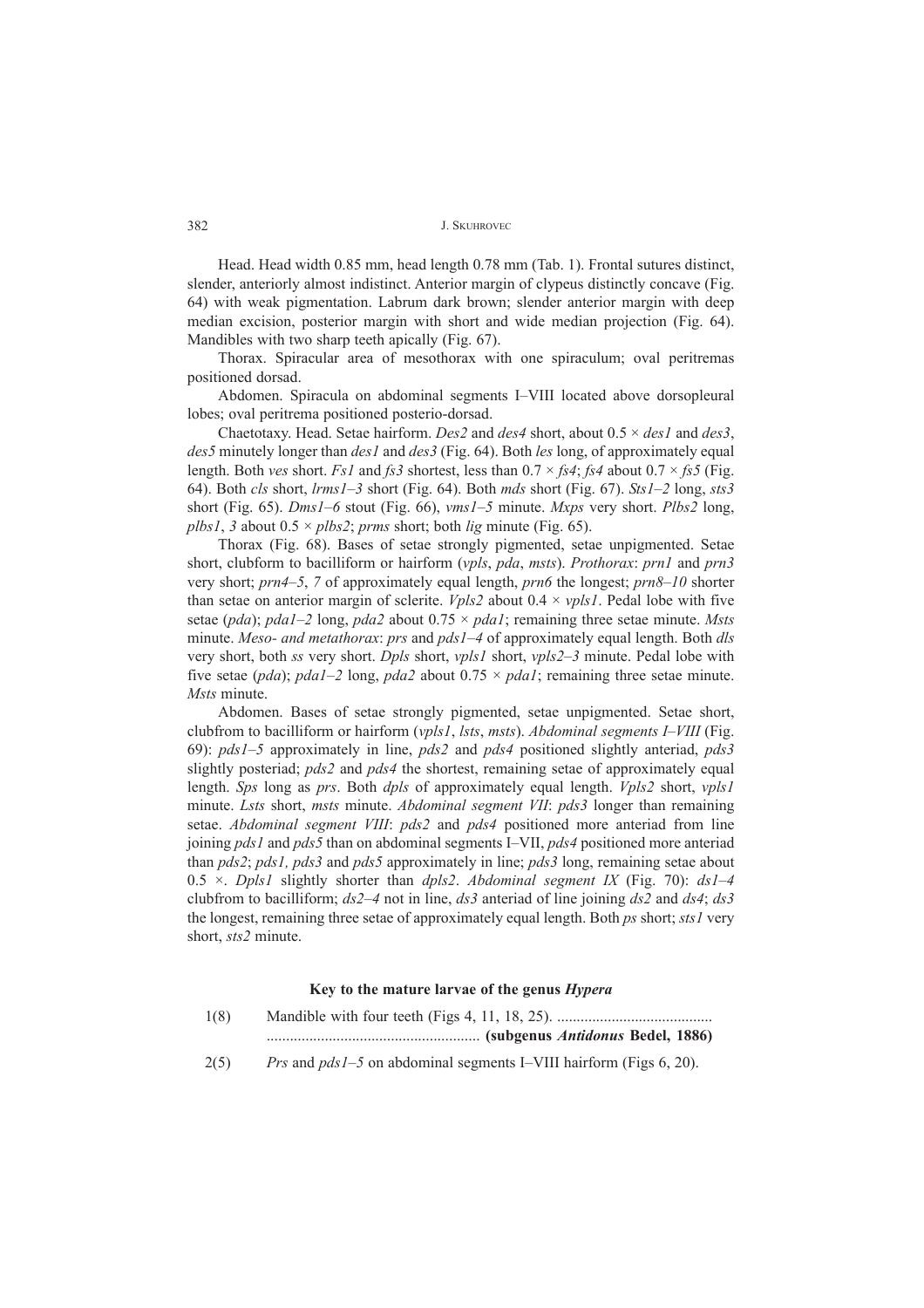Head. Head width 0.85 mm, head length 0.78 mm (Tab. 1). Frontal sutures distinct, slender, anteriorly almost indistinct. Anterior margin of clypeus distinctly concave (Fig. 64) with weak pigmentation. Labrum dark brown; slender anterior margin with deep median excision, posterior margin with short and wide median projection (Fig. 64). Mandibles with two sharp teeth apically (Fig. 67).

Thorax. Spiracular area of mesothorax with one spiraculum; oval peritremas positioned dorsad.

Abdomen. Spiracula on abdominal segments I-VIII located above dorsopleural lobes; oval peritrema positioned posterio-dorsad.

Chaetotaxy. Head. Setae hairform. *Des2* and *des4* short, about 0.5 × *des1* and *des3*, *des5* minutely longer than *des1* and *des3* (Fig. 64). Both *les* long, of approximately equal length. Both *ves* short. *Fs1* and *fs3* shortest, less than  $0.7 \times f$ s4; *fs4* about  $0.7 \times f$ s5 (Fig. 64). Both *cls* short,  $lrms1–3$  short (Fig. 64). Both *mds* short (Fig. 67). *Sts1–2* long, *sts3* short (Fig. 65). *Dms1*–6 stout (Fig. 66), *vms1*–5 minute. *Mxps* very short. *Plbs2* long, *plbs1*, *3* about  $0.5 \times$  *plbs2*; *prms* short; both *lig* minute (Fig. 65).

Thorax (Fig. 68). Bases of setae strongly pigmented, setae unpigmented. Setae short, clubform to bacilliform or hairform (*vpls*, *pda*, *msts*). *Prothorax*: *prn1* and *prn3* very short; *prn4*–5, 7 of approximately equal length, *prn6* the longest; *prn8*–10 shorter than setae on anterior margin of sclerite. *Vpls2* about  $0.4 \times vpls1$ . Pedal lobe with five setae (*pda*); *pda1*–2 long, *pda2* about  $0.75 \times$  *pda1*; remaining three setae minute. Msts minute. *Meso- and metathorax: prs* and *pds1–4* of approximately equal length. Both *dls* very short, both *ss* very short. *Dpls* short, *vpls1* short, *vpls2*-3 minute. Pedal lobe with five setae (*pda*); *pda1*-2 long, *pda2* about  $0.75 \times$  *pda1*; remaining three setae minute. *Msts* minute.

Abdomen. Bases of setae strongly pigmented, setae unpigmented. Setae short, clubfrom to bacilliform or hairform (*vpls1*, *lsts*, *msts*). *Abdominal segments I-VIII* (Fig. 69): *pds1ñ5* approximately in line, *pds2* and *pds4* positioned slightly anteriad, *pds3* slightly posteriad; *pds2* and *pds4* the shortest, remaining setae of approximately equal length. *Sps* long as *prs*. Both *dpls* of approximately equal length. *Vpls2* short, *vpls1* minute. *Lsts* short, *msts* minute. *Abdominal segment VII*: *pds3* longer than remaining setae. *Abdominal segment VIII*: *pds2* and *pds4* positioned more anteriad from line joining *pds1* and *pds5* than on abdominal segments I-VII, *pds4* positioned more anteriad than *pds2*; *pds1, pds3* and *pds5* approximately in line; *pds3* long, remaining setae about  $0.5 \times$ . *Dpls1* slightly shorter than *dpls2*. *Abdominal segment IX* (Fig. 70):  $dsI-4$ clubfrom to bacilliform;  $ds2-4$  not in line,  $ds3$  anteriad of line joining  $ds2$  and  $ds4$ ;  $ds3$ the longest, remaining three setae of approximately equal length. Both *ps* short; *sts1* very short, *sts2* minute.

# **Key to the mature larvae of the genus** *Hypera*

| 1(8) |                                  |
|------|----------------------------------|
|      | (subgenus Antidonus Bedel, 1886) |

2(5) *Prs* and *pds1*–5 on abdominal segments I–VIII hairform (Figs 6, 20).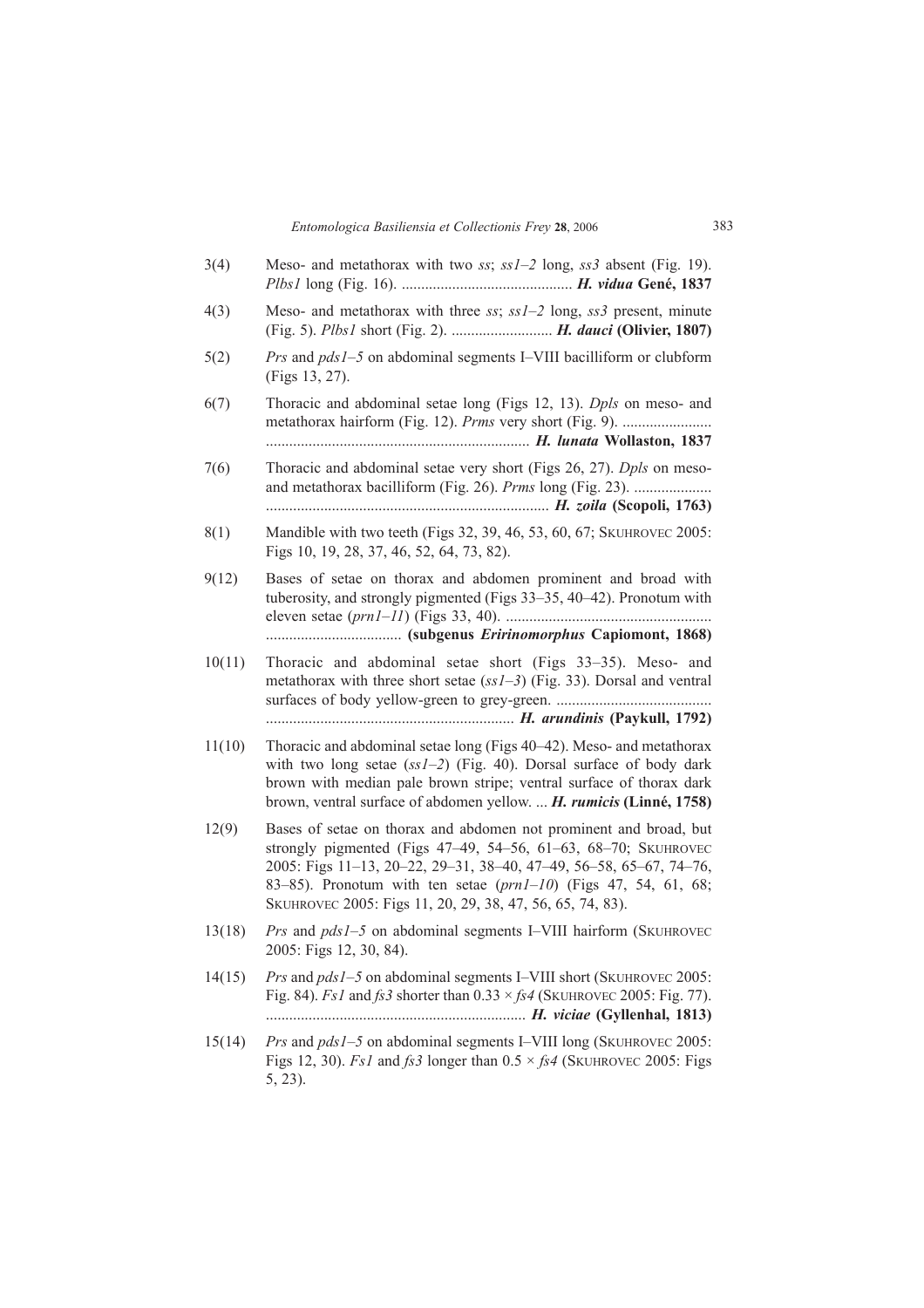| 3(4)   | Meso- and metathorax with two ss; $ssI-2$ long, $ss3$ absent (Fig. 19).                                                                                                                                                                                                                                                                     |
|--------|---------------------------------------------------------------------------------------------------------------------------------------------------------------------------------------------------------------------------------------------------------------------------------------------------------------------------------------------|
| 4(3)   | Meso- and metathorax with three ss; $ssI-2$ long, ss3 present, minute                                                                                                                                                                                                                                                                       |
| 5(2)   | <i>Prs</i> and <i>pds1-5</i> on abdominal segments I-VIII bacilliform or clubform<br>(Figs 13, 27).                                                                                                                                                                                                                                         |
| 6(7)   | Thoracic and abdominal setae long (Figs 12, 13). <i>Dpls</i> on meso- and                                                                                                                                                                                                                                                                   |
| 7(6)   | Thoracic and abdominal setae very short (Figs 26, 27). <i>Dpls</i> on meso-<br>and metathorax bacilliform (Fig. 26). Prms long (Fig. 23).                                                                                                                                                                                                   |
| 8(1)   | Mandible with two teeth (Figs 32, 39, 46, 53, 60, 67; SKUHROVEC 2005:<br>Figs 10, 19, 28, 37, 46, 52, 64, 73, 82).                                                                                                                                                                                                                          |
| 9(12)  | Bases of setae on thorax and abdomen prominent and broad with<br>tuberosity, and strongly pigmented (Figs 33-35, 40-42). Pronotum with                                                                                                                                                                                                      |
| 10(11) | Thoracic and abdominal setae short (Figs 33–35). Meso- and<br>metathorax with three short setae $(ss1-3)$ (Fig. 33). Dorsal and ventral                                                                                                                                                                                                     |
| 11(10) | Thoracic and abdominal setae long (Figs 40–42). Meso- and metathorax<br>with two long setae $(ss1-2)$ (Fig. 40). Dorsal surface of body dark<br>brown with median pale brown stripe; ventral surface of thorax dark<br>brown, ventral surface of abdomen yellow. <i>H. rumicis</i> (Linné, 1758)                                            |
| 12(9)  | Bases of setae on thorax and abdomen not prominent and broad, but<br>strongly pigmented (Figs 47-49, 54-56, 61-63, 68-70; SKUHROVEC<br>2005: Figs 11-13, 20-22, 29-31, 38-40, 47-49, 56-58, 65-67, 74-76,<br>83–85). Pronotum with ten setae $(prn1-10)$ (Figs 47, 54, 61, 68;<br>SKUHROVEC 2005: Figs 11, 20, 29, 38, 47, 56, 65, 74, 83). |
| 13(18) | Prs and pds1-5 on abdominal segments I-VIII hairform (SKUHROVEC<br>2005: Figs 12, 30, 84).                                                                                                                                                                                                                                                  |
| 14(15) | <i>Prs</i> and <i>pds1</i> -5 on abdominal segments I-VIII short (SKUHROVEC 2005:<br>Fig. 84). <i>Fs1</i> and <i>fs3</i> shorter than $0.33 \times f s4$ (SKUHROVEC 2005: Fig. 77).                                                                                                                                                         |
| 15(14) | <i>Prs</i> and <i>pds1</i> –5 on abdominal segments I–VIII long (SKUHROVEC 2005:<br>Figs 12, 30). <i>Fs1</i> and <i>fs3</i> longer than $0.5 \times f_s4$ (SKUHROVEC 2005: Figs<br>$5, 23$ ).                                                                                                                                               |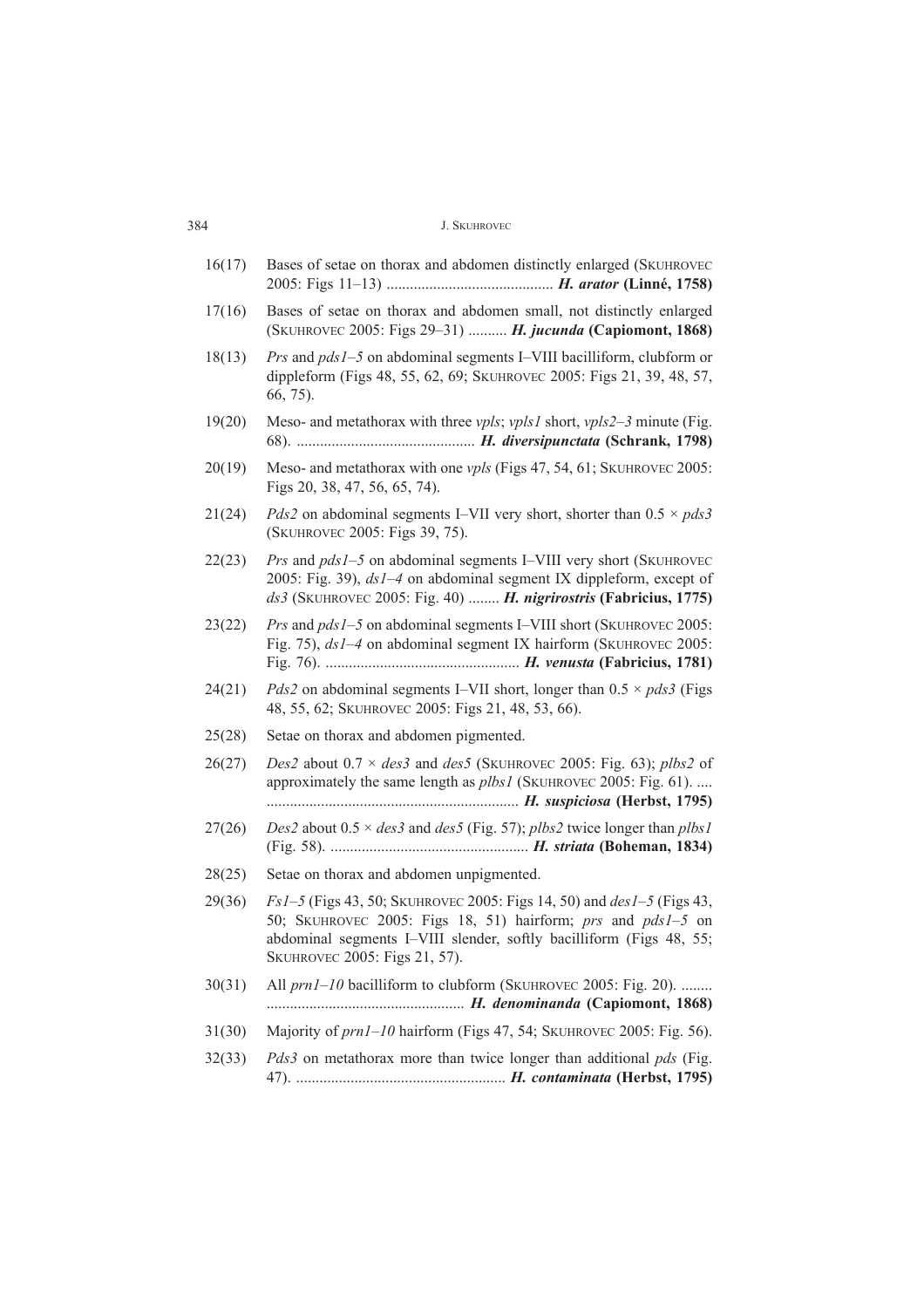| 16(17) | Bases of setae on thorax and abdomen distinctly enlarged (SKUHROVEC                                                                                                                                                                                         |
|--------|-------------------------------------------------------------------------------------------------------------------------------------------------------------------------------------------------------------------------------------------------------------|
| 17(16) | Bases of setae on thorax and abdomen small, not distinctly enlarged<br>(SKUHROVEC 2005: Figs 29-31)  H. jucunda (Capiomont, 1868)                                                                                                                           |
| 18(13) | Prs and pds1-5 on abdominal segments I-VIII bacilliform, clubform or<br>dippleform (Figs 48, 55, 62, 69; SKUHROVEC 2005: Figs 21, 39, 48, 57,<br>$66, 75$ ).                                                                                                |
| 19(20) | Meso- and metathorax with three <i>vpls</i> ; <i>vpls1</i> short, <i>vpls2–3</i> minute (Fig.                                                                                                                                                               |
| 20(19) | Meso- and metathorax with one <i>vpls</i> (Figs 47, 54, 61; SKUHROVEC 2005:<br>Figs 20, 38, 47, 56, 65, 74).                                                                                                                                                |
| 21(24) | <i>Pds2</i> on abdominal segments I–VII very short, shorter than $0.5 \times pds3$<br>(SKUHROVEC 2005: Figs 39, 75).                                                                                                                                        |
| 22(23) | Prs and pds1-5 on abdominal segments I-VIII very short (SKUHROVEC<br>2005: Fig. 39), $dsI-4$ on abdominal segment IX dippleform, except of<br>ds3 (SKUHROVEC 2005: Fig. 40)  H. nigrirostris (Fabricius, 1775)                                              |
| 23(22) | <i>Prs</i> and <i>pds1</i> -5 on abdominal segments I-VIII short (SKUHROVEC 2005:<br>Fig. 75), ds1-4 on abdominal segment IX hairform (SKUHROVEC 2005:                                                                                                      |
| 24(21) | <i>Pds2</i> on abdominal segments I–VII short, longer than $0.5 \times pds3$ (Figs<br>48, 55, 62; SKUHROVEC 2005: Figs 21, 48, 53, 66).                                                                                                                     |
| 25(28) | Setae on thorax and abdomen pigmented.                                                                                                                                                                                                                      |
| 26(27) | <i>Des2</i> about $0.7 \times des3$ and <i>des5</i> (SKUHROVEC 2005: Fig. 63); <i>plbs2</i> of<br>approximately the same length as <i>plbs1</i> (SKUHROVEC 2005: Fig. 61).                                                                                  |
| 27(26) | Des2 about $0.5 \times des3$ and des5 (Fig. 57); plbs2 twice longer than plbs1                                                                                                                                                                              |
| 28(25) | Setae on thorax and abdomen unpigmented.                                                                                                                                                                                                                    |
| 29(36) | <i>Fs1-5</i> (Figs 43, 50; SKUHROVEC 2005: Figs 14, 50) and <i>des1-5</i> (Figs 43,<br>50; SKUHROVEC 2005: Figs 18, 51) hairform; prs and pds1-5 on<br>abdominal segments I-VIII slender, softly bacilliform (Figs 48, 55;<br>SKUHROVEC 2005: Figs 21, 57). |
| 30(31) | All <i>prn1-10</i> bacilliform to clubform (SKUHROVEC 2005: Fig. 20).                                                                                                                                                                                       |
| 31(30) | Majority of prn1-10 hairform (Figs 47, 54; SKUHROVEC 2005: Fig. 56).                                                                                                                                                                                        |
| 32(33) | <i>Pds3</i> on metathorax more than twice longer than additional <i>pds</i> (Fig.                                                                                                                                                                           |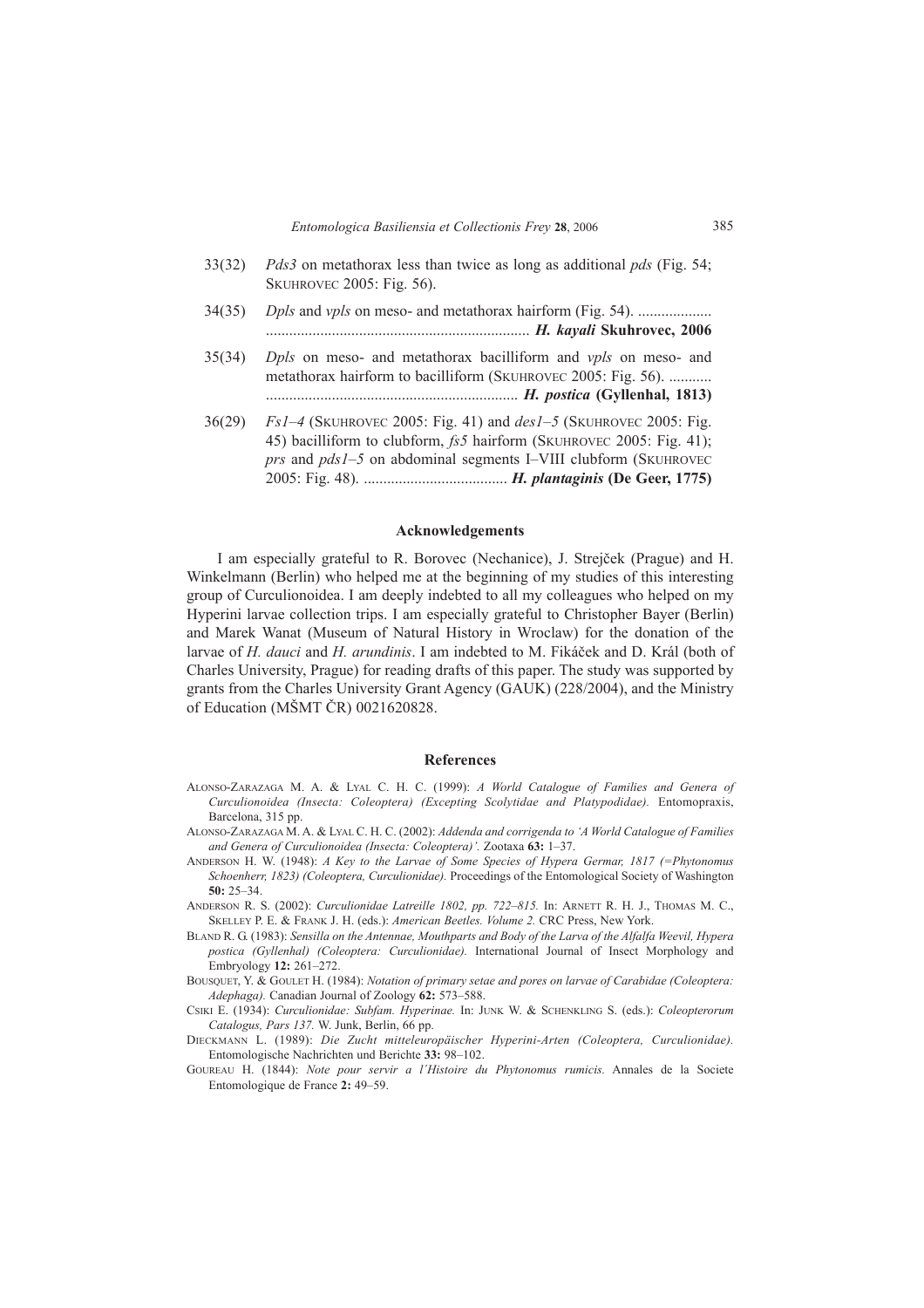| 33(32) | <i>Pds3</i> on metathorax less than twice as long as additional <i>pds</i> (Fig. 54;<br>SKUHROVEC 2005: Fig. 56).                                                                                                              |
|--------|--------------------------------------------------------------------------------------------------------------------------------------------------------------------------------------------------------------------------------|
| 34(35) | <i>Dpls</i> and <i>vpls</i> on meso- and metathorax hairform (Fig. 54).                                                                                                                                                        |
| 35(34) | <i>Dpls</i> on meso- and metathorax bacilliform and <i>vpls</i> on meso- and<br>metathorax hairform to bacilliform (SKUHROVEC 2005: Fig. 56).                                                                                  |
| 36(29) | $Fs1-4$ (SKUHROVEC 2005: Fig. 41) and $des1-5$ (SKUHROVEC 2005: Fig.<br>45) bacilliform to clubform, fs5 hairform (SKUHROVEC 2005: Fig. 41);<br><i>prs</i> and <i>pds1</i> -5 on abdominal segments I-VIII clubform (SKUHROVEC |

#### **Acknowledgements**

I am especially grateful to R. Borovec (Nechanice), J. StrejËek (Prague) and H. Winkelmann (Berlin) who helped me at the beginning of my studies of this interesting group of Curculionoidea. I am deeply indebted to all my colleagues who helped on my Hyperini larvae collection trips. I am especially grateful to Christopher Bayer (Berlin) and Marek Wanat (Museum of Natural History in Wroclaw) for the donation of the larvae of *H. dauci* and *H. arundinis*. I am indebted to M. Fikáček and D. Král (both of Charles University, Prague) for reading drafts of this paper. The study was supported by grants from the Charles University Grant Agency (GAUK) (228/2004), and the Ministry of Education (MŠMT ČR) 0021620828.

# **References**

- ALONSO-ZARAZAGA M. A. & LYAL C. H. C. (1999): *A World Catalogue of Families and Genera of Curculionoidea (Insecta: Coleoptera) (Excepting Scolytidae and Platypodidae).* Entomopraxis, Barcelona, 315 pp.
- ALONSO-ZARAZAGA M. A. & LYAL C. H. C. (2002): *Addenda and corrigenda to ëA World Catalogue of Families and Genera of Curculionoidea (Insecta: Coleoptera)<sup>7</sup>. Zootaxa 63: 1–37.*
- ANDERSON H. W. (1948): *A Key to the Larvae of Some Species of Hypera Germar, 1817 (=Phytonomus Schoenherr, 1823) (Coleoptera, Curculionidae).* Proceedings of the Entomological Society of Washington  $50: 25 - 34$
- ANDERSON R. S. (2002): *Curculionidae Latreille 1802, pp. 722-815*. In: ARNETT R. H. J., THOMAS M. C., SKELLEY P. E. & FRANK J. H. (eds.): *American Beetles. Volume 2.* CRC Press, New York.
- BLAND R. G. (1983): *Sensilla on the Antennae, Mouthparts and Body of the Larva of the Alfalfa Weevil, Hypera postica (Gyllenhal) (Coleoptera: Curculionidae).* International Journal of Insect Morphology and Embryology 12: 261-272.
- BOUSQUET, Y. & GOULET H. (1984): *Notation of primary setae and pores on larvae of Carabidae (Coleoptera: Adephaga*). Canadian Journal of Zoology 62: 573-588.
- CSIKI E. (1934): *Curculionidae: Subfam. Hyperinae.* In: JUNK W. & SCHENKLING S. (eds.): *Coleopterorum Catalogus, Pars 137.* W. Junk, Berlin, 66 pp.
- DIECKMANN L. (1989): *Die Zucht mitteleurop‰ischer Hyperini-Arten (Coleoptera, Curculionidae).* Entomologische Nachrichten und Berichte 33: 98-102.
- GOUREAU H. (1844): *Note pour servir a l¥Histoire du Phytonomus rumicis.* Annales de la Societe Entomologique de France 2: 49-59.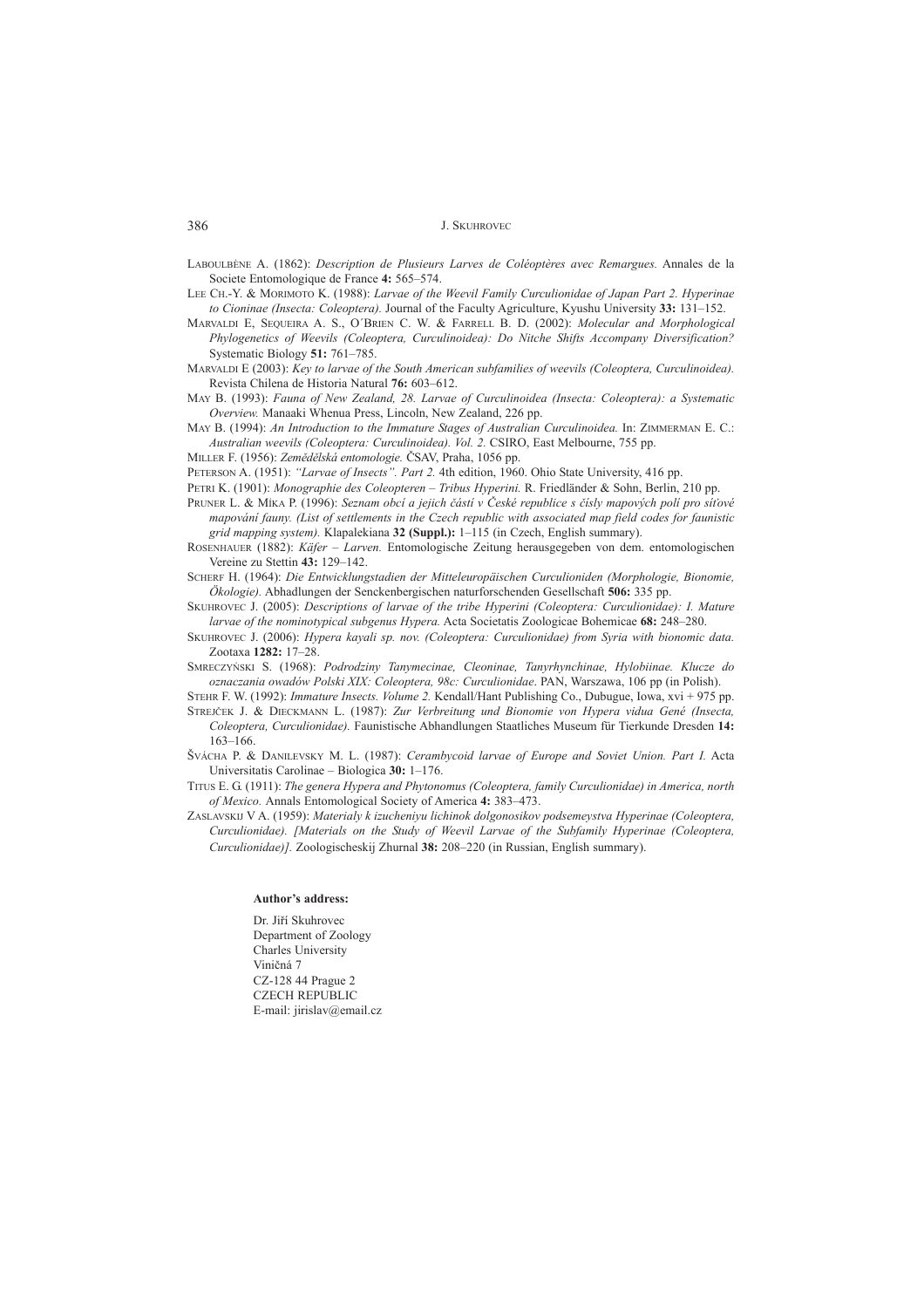LABOULBÈNE A. (1862): *Description de Plusieurs Larves de ColÈoptères avec Remargues.* Annales de la Societe Entomologique de France 4: 565-574.

- LEE CH.-Y. & MORIMOTO K. (1988): *Larvae of the Weevil Family Curculionidae of Japan Part 2. Hyperinae to Cioninae (Insecta: Coleoptera).* Journal of the Faculty Agriculture, Kyushu University 33: 131-152.
- MARVALDI E, SEQUEIRA A. S., O'BRIEN C. W. & FARRELL B. D. (2002): *Molecular and Morphological Phylogenetics of Weevils (Coleoptera, Curculinoidea): Do Nitche Shifts Accompany Diversification?* Systematic Biology **51:** 761-785.
- MARVALDI E (2003): *Key to larvae of the South American subfamilies of weevils (Coleoptera, Curculinoidea).* Revista Chilena de Historia Natural 76: 603-612.
- MAY B. (1993): *Fauna of New Zealand, 28. Larvae of Curculinoidea (Insecta: Coleoptera): a Systematic Overview.* Manaaki Whenua Press, Lincoln, New Zealand, 226 pp.
- MAY B. (1994): *An Introduction to the Immature Stages of Australian Curculinoidea.* In: ZIMMERMAN E. C.: *Australian weevils (Coleoptera: Curculinoidea). Vol. 2.* CSIRO, East Melbourne, 755 pp.

MILLER F. (1956): *Zemědělská entomologie*. ČSAV, Praha, 1056 pp.

PETERSON A. (1951): *'Larvae of Insects''. Part 2.* 4th edition, 1960. Ohio State University, 416 pp.

PETRI K. (1901): *Monographie des Coleopteren – Tribus Hyperini*. R. Friedländer & Sohn, Berlin, 210 pp.

- PRUNER L. & MÍKA P. (1996): *Seznam obcí a jejich částí v České republice s čísly mapových poli pro siťové mapování fauny. (List of settlements in the Czech republic with associated map field codes for faunistic grid mapping system).* Klapalekiana 32 (Suppl.):  $1-115$  (in Czech, English summary).
- ROSENHAUER (1882): *Käfer Larven*. Entomologische Zeitung herausgegeben von dem. entomologischen Vereine zu Stettin 43: 129-142.
- SCHERF H. (1964): *Die Entwicklungstadien der Mitteleurop‰ischen Curculioniden (Morphologie, Bionomie, ÷kologie).* Abhadlungen der Senckenbergischen naturforschenden Gesellschaft **506:** 335 pp.
- SKUHROVEC J. (2005): *Descriptions of larvae of the tribe Hyperini (Coleoptera: Curculionidae): I. Mature larvae of the nominotypical subgenus Hypera.* Acta Societatis Zoologicae Bohemicae 68: 248–280.
- SKUHROVEC J. (2006): *Hypera kayali sp. nov. (Coleoptera: Curculionidae) from Syria with bionomic data.* Zootaxa 1282: 17-28.
- SMRECZY—SKI S. (1968): *Podrodziny Tanymecinae, Cleoninae, Tanyrhynchinae, Hylobiinae. Klucze do oznaczania owadÛw Polski XIX: Coleoptera, 98c: Curculionidae*. PAN, Warszawa, 106 pp (in Polish).
- STEHR F. W. (1992): *Immature Insects. Volume 2.* Kendall/Hant Publishing Co., Dubugue, Iowa, xvi + 975 pp. STREJ»EK J. & DIECKMANN L. (1987): *Zur Verbreitung und Bionomie von Hypera vidua GenÈ (Insecta,*
- $Coleoptera$ , Curculionidae). Faunistische Abhandlungen Staatliches Museum für Tierkunde Dresden 14:  $163 - 166$ . ŠVÁCHA P. & DANILEVSKY M. L. (1987): *Cerambycoid larvae of Europe and Soviet Union. Part I.* Acta
- Universitatis Carolinae Biologica 30: 1-176.
- TITUS E. G. (1911): *The genera Hypera and Phytonomus (Coleoptera, family Curculionidae) in America, north of Mexico.* Annals Entomological Society of America 4: 383-473.
- ZASLAVSKIJ V A. (1959): *Materialy k izucheniyu lichinok dolgonosikov podsemeystva Hyperinae (Coleoptera, Curculionidae). [Materials on the Study of Weevil Larvae of the Subfamily Hyperinae (Coleoptera, Curculionidae)].* Zoologischeskij Zhurnal 38: 208–220 (in Russian, English summary).

#### Author's address:

Dr. Jiří Skuhrovec Department of Zoology Charles University Viničná 7 CZ-128 44 Prague 2 CZECH REPUBLIC E-mail: jirislav@email.cz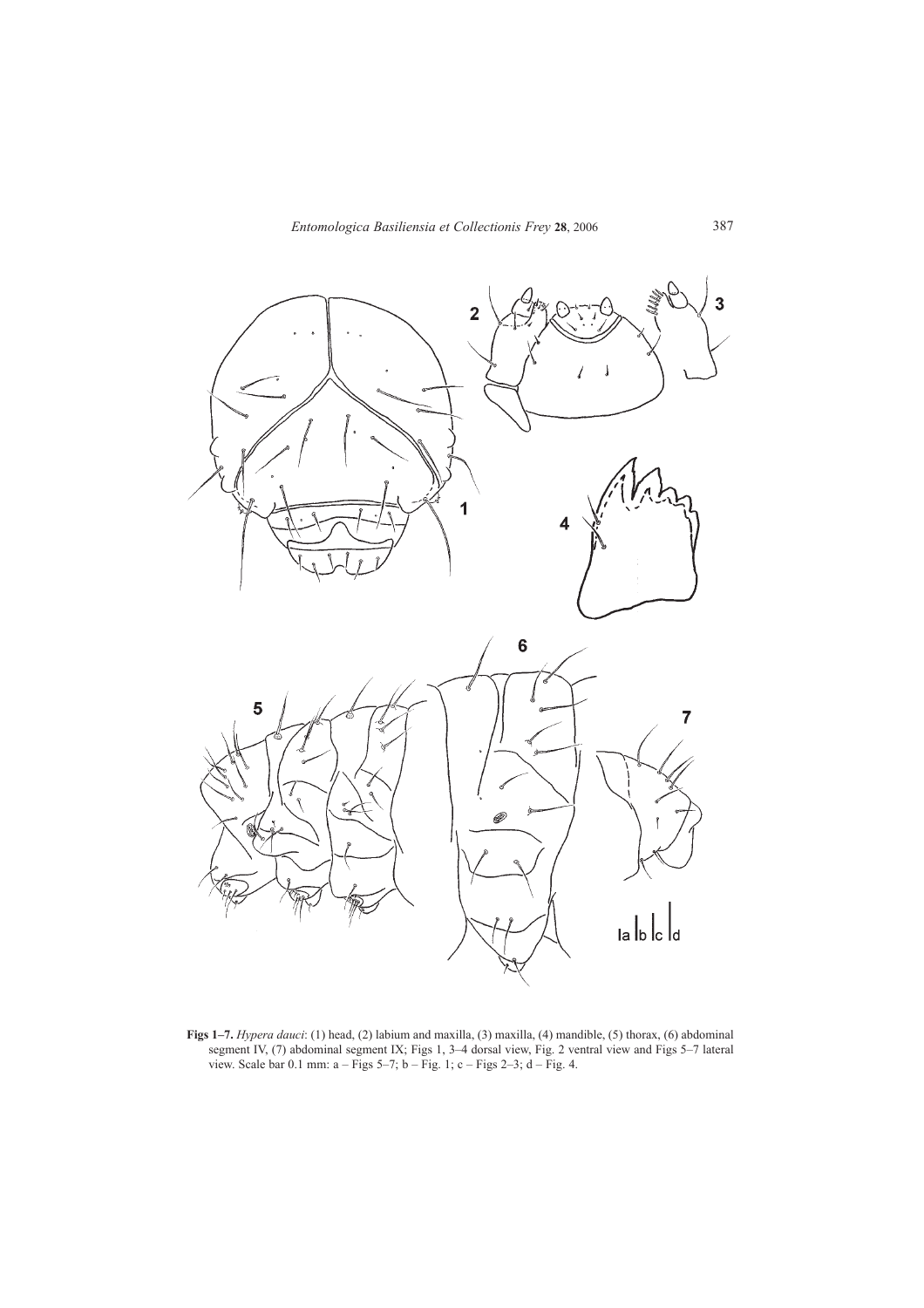

**Figs 1–7.** *Hypera dauci*: (1) head, (2) labium and maxilla, (3) maxilla, (4) mandible, (5) thorax, (6) abdominal segment IV, (7) abdominal segment IX; Figs 1, 3–4 dorsal view, Fig. 2 ventral view and Figs 5–7 lateral view. Scale bar  $0.1$  mm:  $a - Figs 5-7$ ;  $b - Fig. 1$ ;  $c - Figs 2-3$ ;  $d - Fig. 4$ .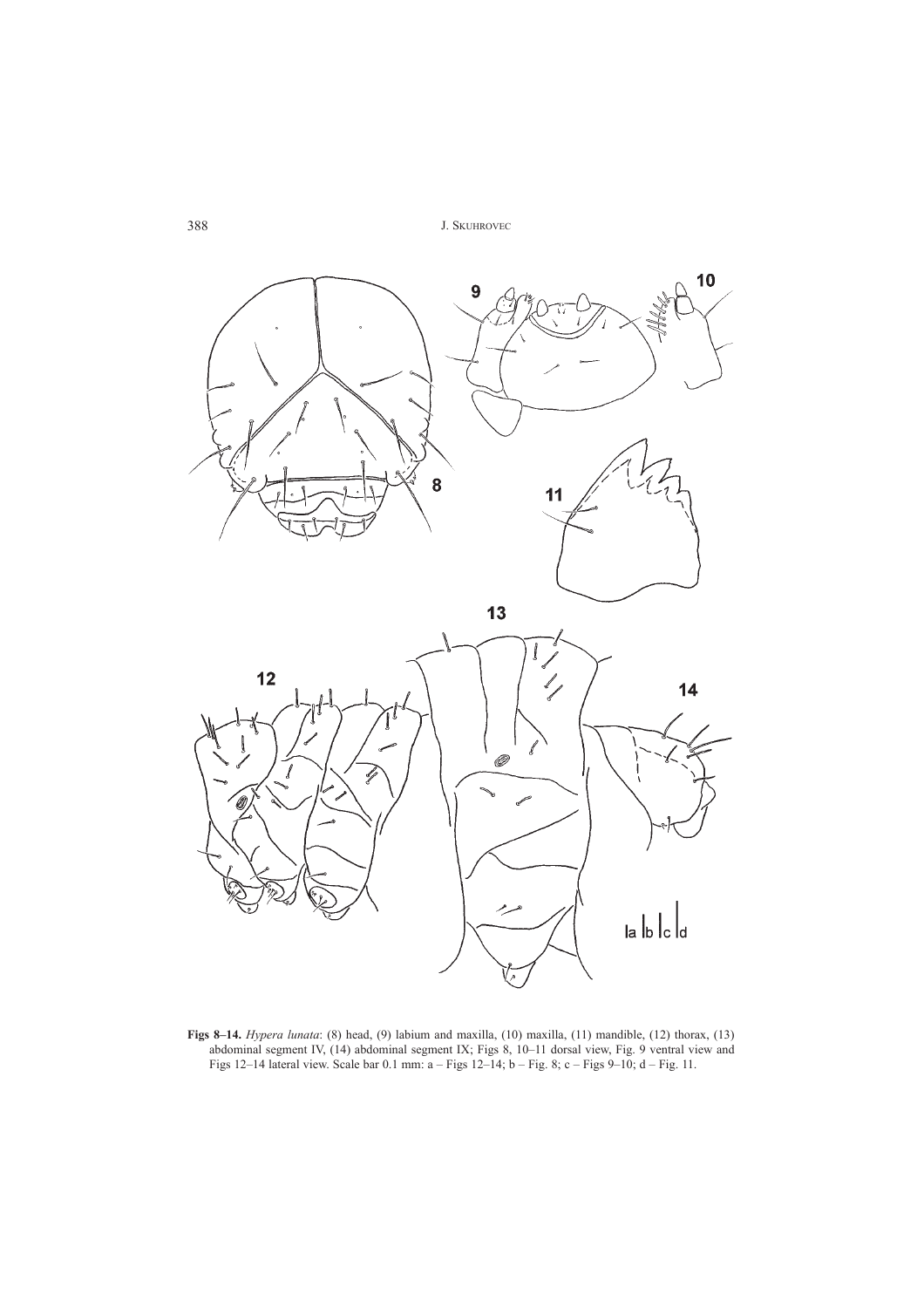

**Figs 8–14.** *Hypera lunata*: (8) head, (9) labium and maxilla, (10) maxilla, (11) mandible, (12) thorax, (13) abdominal segment IV, (14) abdominal segment IX; Figs 8, 10–11 dorsal view, Fig. 9 ventral view and Figs  $12-14$  lateral view. Scale bar 0.1 mm: a  $-$  Figs  $12-14$ ; b  $-$  Fig. 8; c  $-$  Figs 9 $-10$ ; d  $-$  Fig. 11.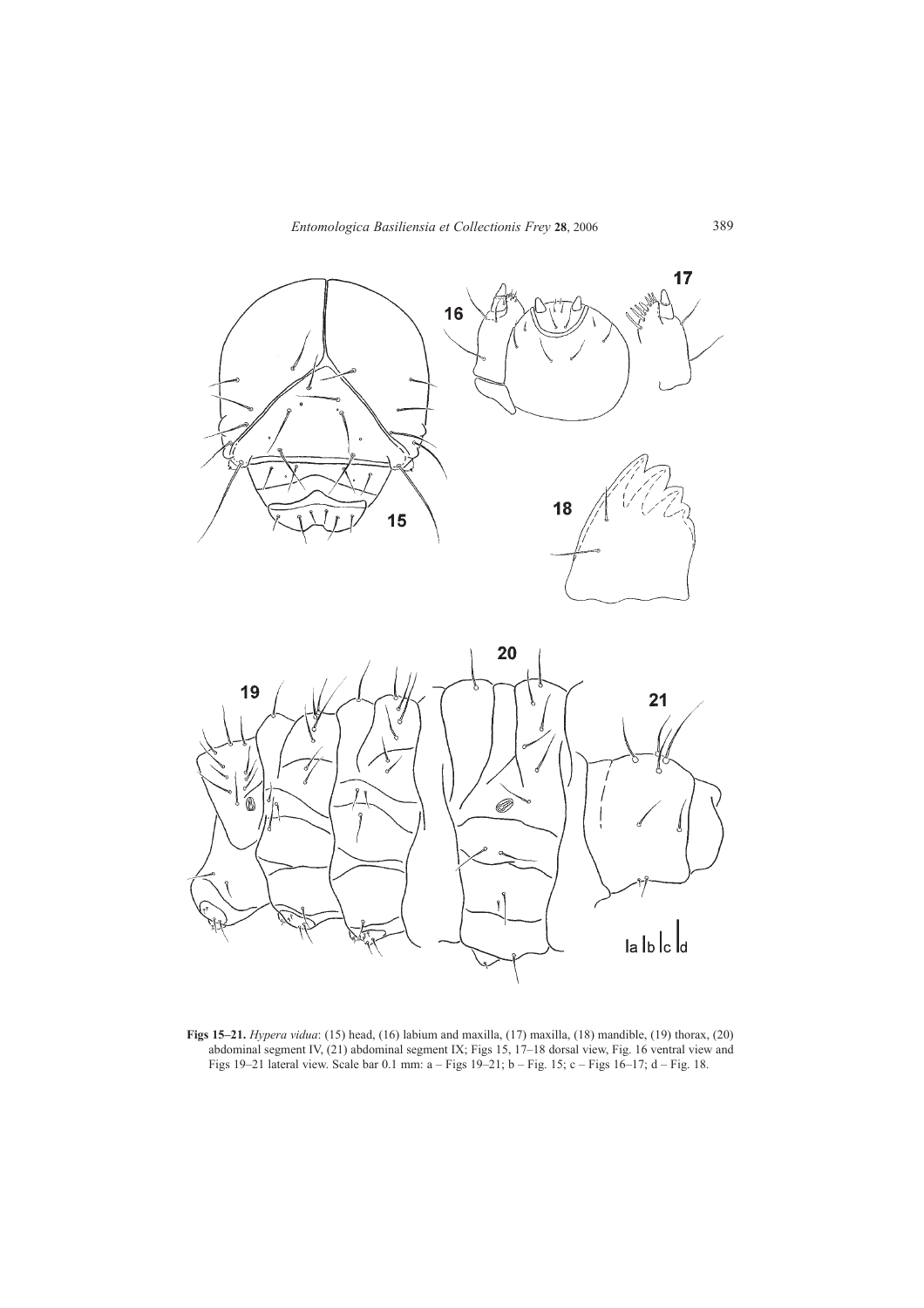



**Figs 15–21.** *Hypera vidua*: (15) head, (16) labium and maxilla, (17) maxilla, (18) mandible, (19) thorax, (20) abdominal segment IV, (21) abdominal segment IX; Figs 15, 17–18 dorsal view, Fig. 16 ventral view and Figs 19 $-21$  lateral view. Scale bar 0.1 mm: a  $-$  Figs 19 $-21$ ; b  $-$  Fig. 15; c  $-$  Figs 16 $-17$ ; d  $-$  Fig. 18.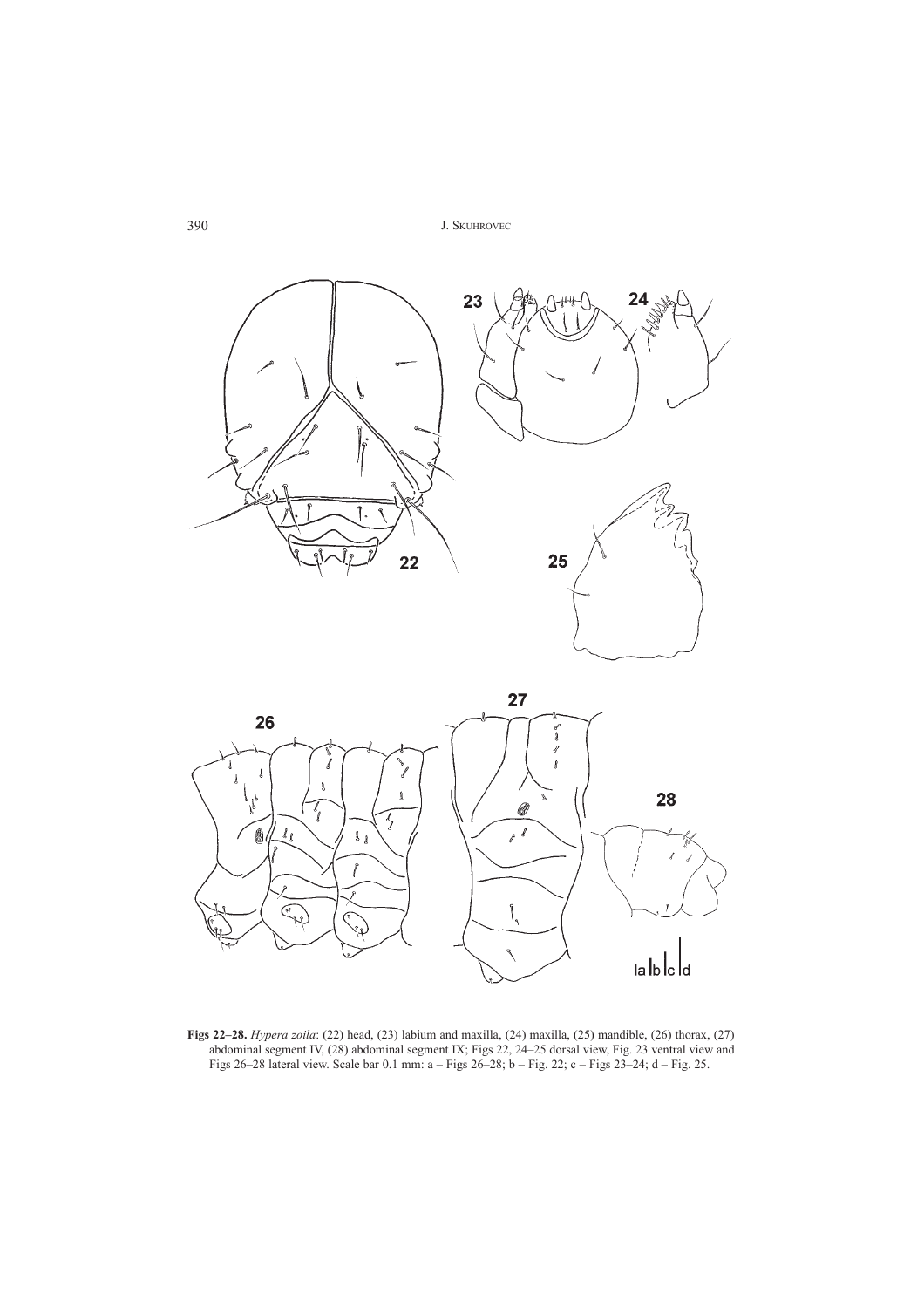



**Figs 22–28.** *Hypera zoila*: (22) head, (23) labium and maxilla, (24) maxilla, (25) mandible, (26) thorax, (27) abdominal segment IV, (28) abdominal segment IX; Figs 22, 24–25 dorsal view, Fig. 23 ventral view and Figs 26–28 lateral view. Scale bar 0.1 mm: a  $-$  Figs 26–28; b  $-$  Fig. 22; c  $-$  Figs 23–24; d  $-$  Fig. 25.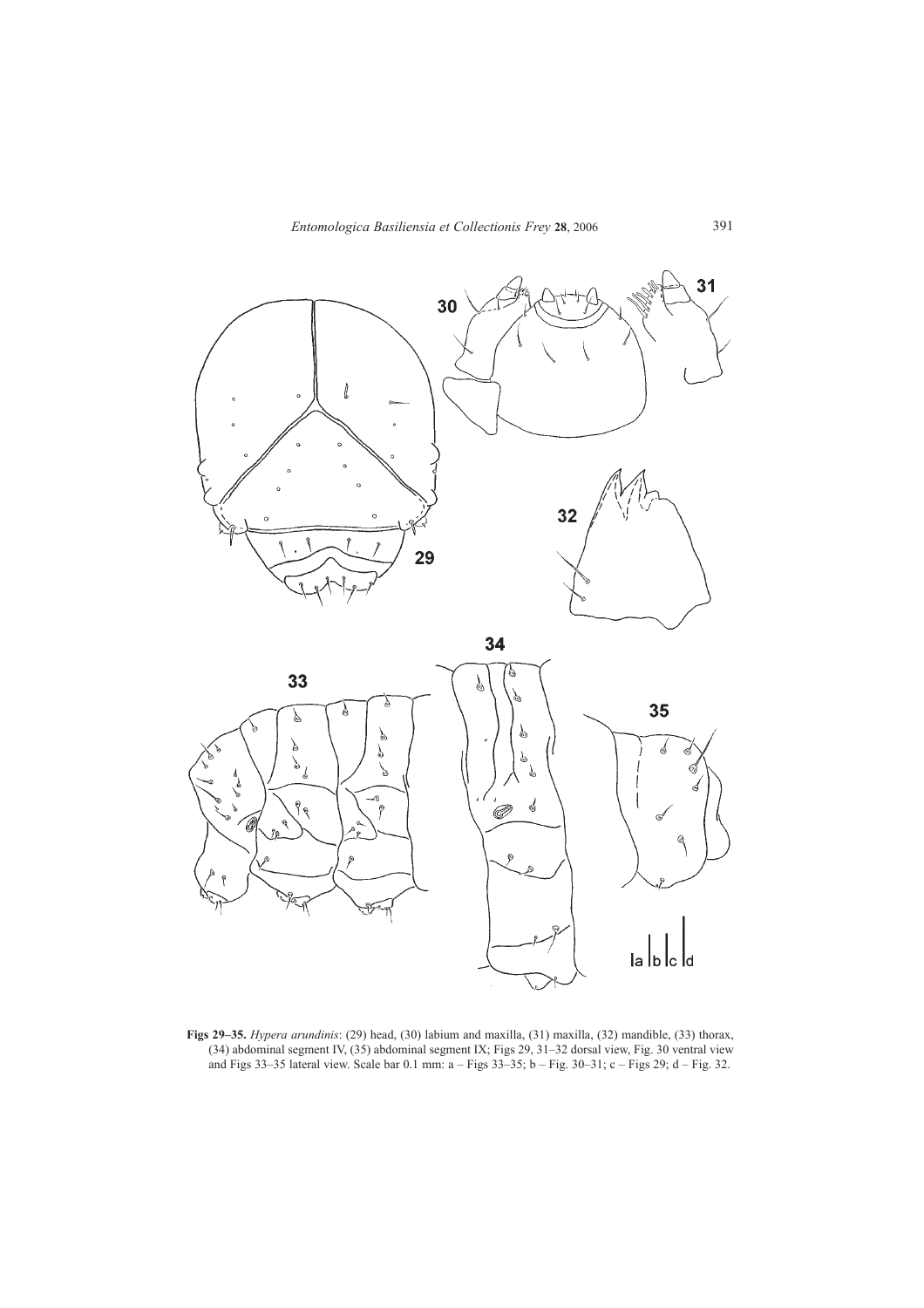

**Figs 29–35.** *Hypera arundinis*: (29) head, (30) labium and maxilla, (31) maxilla, (32) mandible, (33) thorax,  $(34)$  abdominal segment IV,  $(35)$  abdominal segment IX; Figs 29, 31–32 dorsal view, Fig. 30 ventral view and Figs 33–35 lateral view. Scale bar 0.1 mm:  $a -$  Figs 33–35; b  $-$  Fig. 30–31; c  $-$  Figs 29; d  $-$  Fig. 32.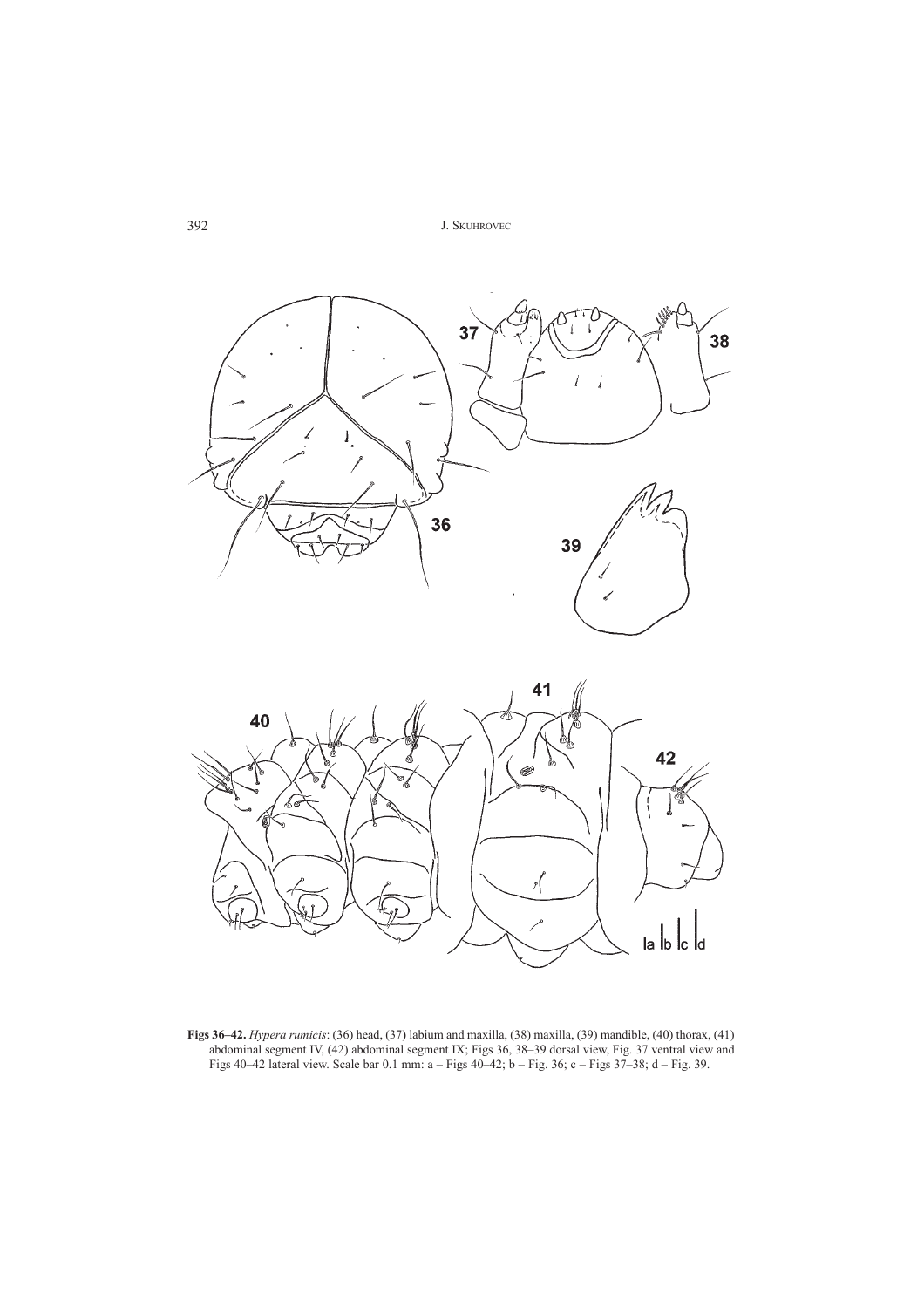



**Figs 36–42.** *Hypera rumicis*: (36) head, (37) labium and maxilla, (38) maxilla, (39) mandible, (40) thorax, (41) abdominal segment IV, (42) abdominal segment IX; Figs 36, 38–39 dorsal view, Fig. 37 ventral view and Figs 40–42 lateral view. Scale bar 0.1 mm:  $a -$  Figs 40–42; b  $-$  Fig. 36; c  $-$  Figs 37–38; d  $-$  Fig. 39.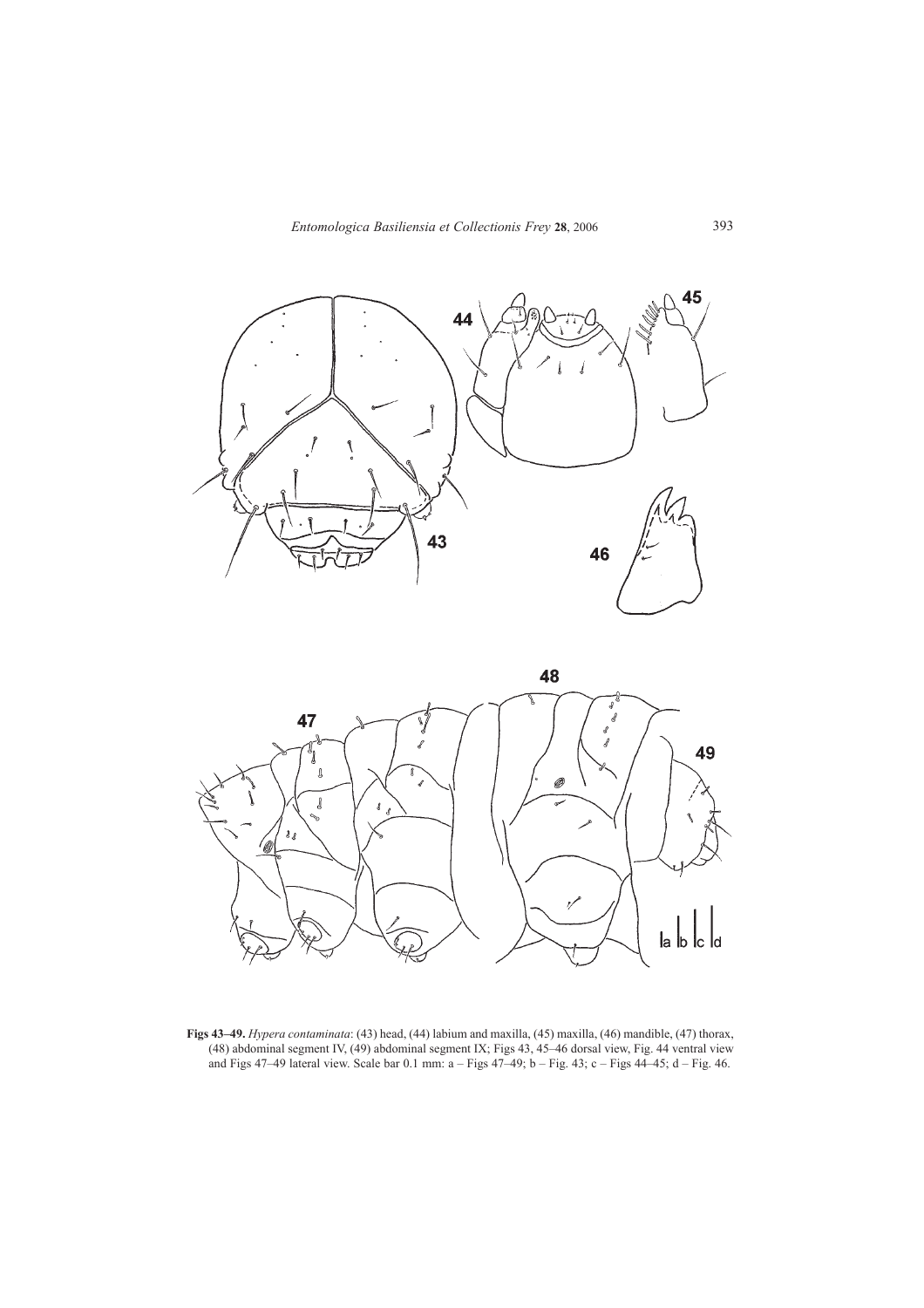



**Figs 43–49.** *Hypera contaminata*: (43) head, (44) labium and maxilla, (45) maxilla, (46) mandible, (47) thorax, (48) abdominal segment IV, (49) abdominal segment IX; Figs 43, 45–46 dorsal view, Fig. 44 ventral view and Figs 47–49 lateral view. Scale bar 0.1 mm: a  $-$  Figs 47–49; b  $-$  Fig. 43; c  $-$  Figs 44–45; d  $-$  Fig. 46.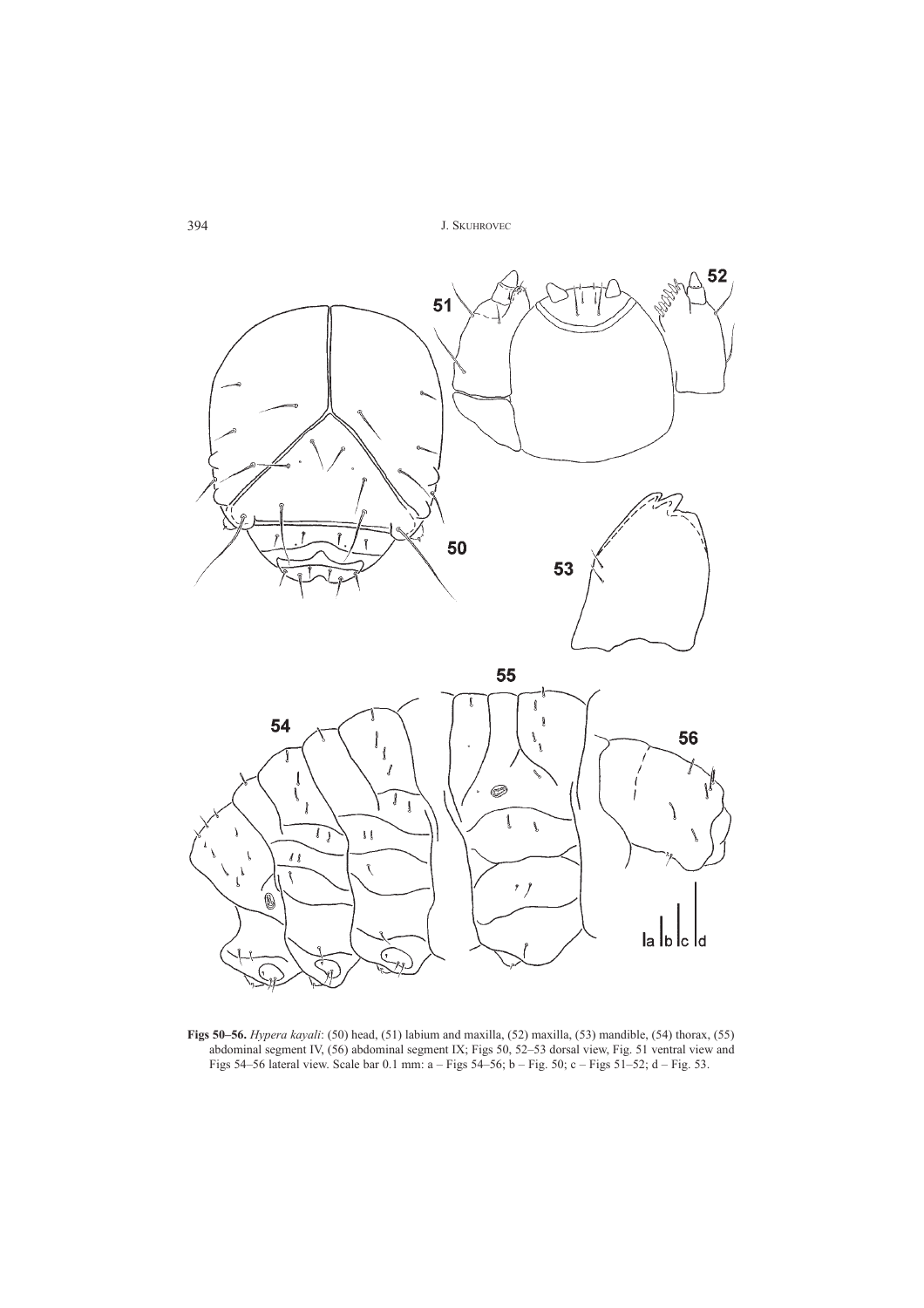

**Figs 50–56.** *Hypera kayali*: (50) head, (51) labium and maxilla, (52) maxilla, (53) mandible, (54) thorax, (55) abdominal segment IV, (56) abdominal segment IX; Figs 50, 52–53 dorsal view, Fig. 51 ventral view and Figs 54–56 lateral view. Scale bar 0.1 mm: a – Figs 54–56; b – Fig. 50; c – Figs 51–52; d – Fig. 53.

 $\frac{1}{2}$ 

la lb lc ld

 $\overline{U}$ 

 $\bar{l}$   $\bar{l}$ 

 $\tilde{\mathcal{N}}$ 

Ó

 $\overline{\mathbf{r}}$ 

 $\mathbf{r}$ ∖

 $\mathfrak{z}\ \mathfrak{l}$ 

 $\hat{\mathcal{N}}$ 

G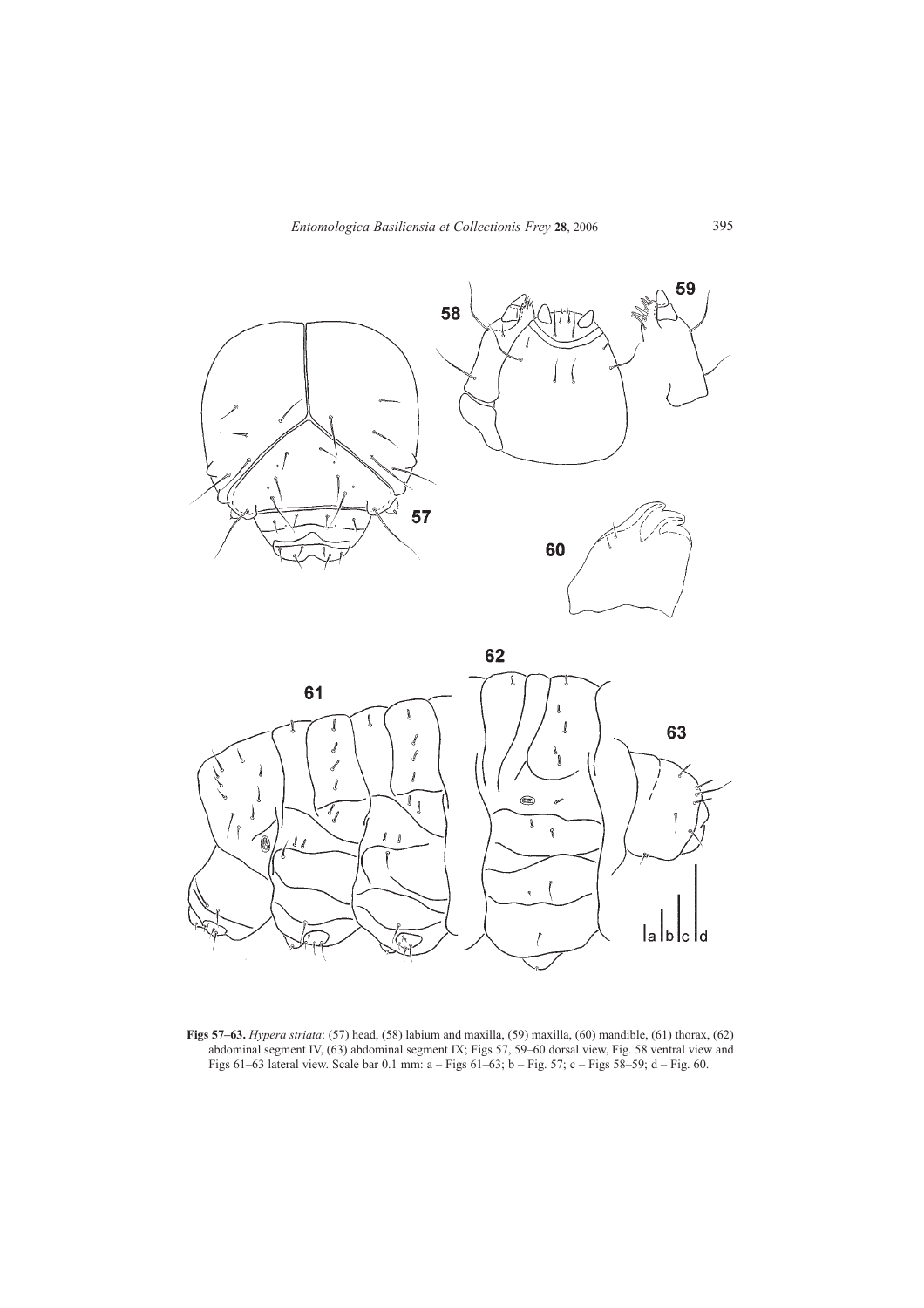



**Figs 57–63.** *Hypera striata*: (57) head, (58) labium and maxilla, (59) maxilla, (60) mandible, (61) thorax, (62) abdominal segment IV, (63) abdominal segment IX; Figs 57, 59–60 dorsal view, Fig. 58 ventral view and Figs 61–63 lateral view. Scale bar 0.1 mm:  $a -$  Figs 61–63; b – Fig. 57; c – Figs 58–59; d – Fig. 60.